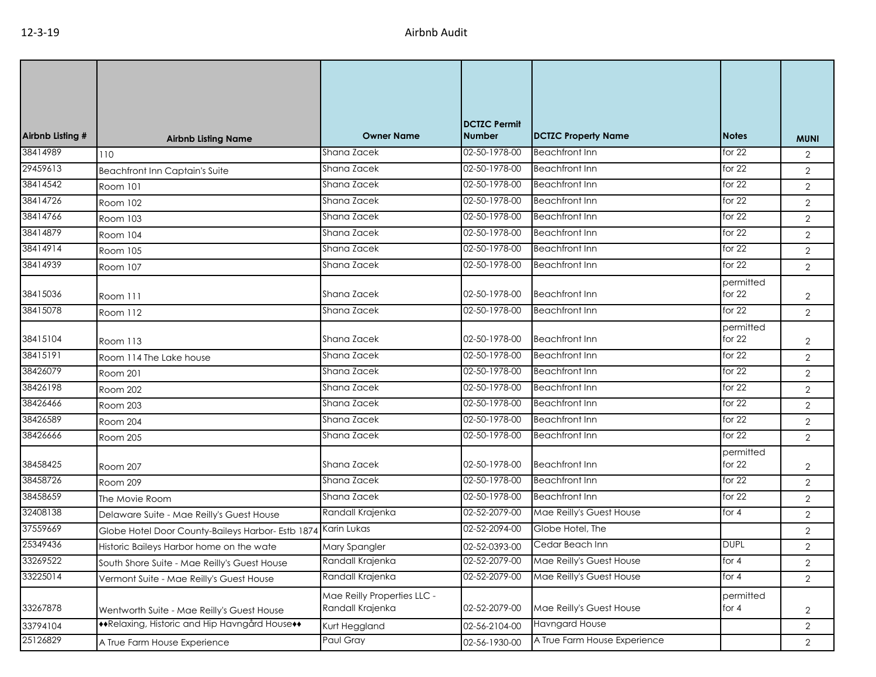| Airbnb Listing # | <b>Airbnb Listing Name</b>                        | <b>Owner Name</b>                               | <b>DCTZC Permit</b><br><b>Number</b> | <b>DCTZC Property Name</b>   | <b>Notes</b>          | <b>MUNI</b>    |
|------------------|---------------------------------------------------|-------------------------------------------------|--------------------------------------|------------------------------|-----------------------|----------------|
| 38414989         | 110                                               | Shana Zacek                                     | 02-50-1978-00                        | <b>Beachfront Inn</b>        | for $22$              | $\overline{2}$ |
| 29459613         | <b>Beachfront Inn Captain's Suite</b>             | Shana Zacek                                     | 02-50-1978-00                        | <b>Beachfront Inn</b>        | for $22$              | $\overline{2}$ |
| 38414542         | Room 101                                          | Shana Zacek                                     | 02-50-1978-00                        | <b>Beachfront Inn</b>        | for $22$              | $\overline{2}$ |
| 38414726         | Room 102                                          | Shana Zacek                                     | 02-50-1978-00                        | <b>Beachfront Inn</b>        | for $22$              | $\overline{2}$ |
| 38414766         | Room 103                                          | Shana Zacek                                     | 02-50-1978-00                        | <b>Beachfront Inn</b>        | for $22$              | 2              |
| 38414879         | Room 104                                          | Shana Zacek                                     | 02-50-1978-00                        | <b>Beachfront Inn</b>        | for $22$              | $\overline{2}$ |
| 38414914         | Room 105                                          | Shana Zacek                                     | 02-50-1978-00                        | <b>Beachfront Inn</b>        | for $22$              | $\mathbf{2}$   |
| 38414939         | Room 107                                          | Shana Zacek                                     | 02-50-1978-00                        | <b>Beachfront Inn</b>        | for $22$              | $\overline{2}$ |
| 38415036         | Room 111                                          | Shana Zacek                                     | 02-50-1978-00                        | <b>Beachfront Inn</b>        | permitted<br>for $22$ | $\overline{2}$ |
| 38415078         | Room 112                                          | Shana Zacek                                     | 02-50-1978-00                        | <b>Beachfront Inn</b>        | for $22$              | $\overline{2}$ |
| 38415104         | Room 113                                          | Shana Zacek                                     | 02-50-1978-00                        | <b>Beachfront Inn</b>        | permitted<br>for $22$ | $\overline{2}$ |
| 38415191         | Room 114 The Lake house                           | Shana Zacek                                     | 02-50-1978-00                        | <b>Beachfront Inn</b>        | for $22$              | $\overline{2}$ |
| 38426079         | <b>Room 201</b>                                   | Shana Zacek                                     | 02-50-1978-00                        | <b>Beachfront Inn</b>        | for $22$              | $\overline{2}$ |
| 38426198         | Room 202                                          | Shana Zacek                                     | 02-50-1978-00                        | <b>Beachfront Inn</b>        | for $22$              | $\overline{2}$ |
| 38426466         | Room 203                                          | Shana Zacek                                     | 02-50-1978-00                        | <b>Beachfront Inn</b>        | for $22$              | $\overline{2}$ |
| 38426589         | Room 204                                          | Shana Zacek                                     | 02-50-1978-00                        | <b>Beachfront Inn</b>        | for 22                | $\overline{2}$ |
| 38426666         | Room 205                                          | Shana Zacek                                     | 02-50-1978-00                        | <b>Beachfront Inn</b>        | for $22$              | $\overline{2}$ |
| 38458425         | Room 207                                          | Shana Zacek                                     | 02-50-1978-00                        | <b>Beachfront Inn</b>        | permitted<br>for $22$ | $\overline{2}$ |
| 38458726         | Room 209                                          | Shana Zacek                                     | 02-50-1978-00                        | <b>Beachfront Inn</b>        | for $22$              | $\overline{2}$ |
| 38458659         | The Movie Room                                    | Shana Zacek                                     | 02-50-1978-00                        | <b>Beachfront Inn</b>        | for $22$              | $\overline{2}$ |
| 32408138         | Delaware Suite - Mae Reilly's Guest House         | Randall Krajenka                                | 02-52-2079-00                        | Mae Reilly's Guest House     | for $4$               | $\overline{2}$ |
| 37559669         | Globe Hotel Door County-Baileys Harbor- Estb 1874 | Karin Lukas                                     | 02-52-2094-00                        | Globe Hotel, The             |                       | $\overline{2}$ |
| 25349436         | Historic Baileys Harbor home on the wate          | Mary Spangler                                   | 02-52-0393-00                        | Cedar Beach Inn              | <b>DUPL</b>           | $\overline{2}$ |
| 33269522         | South Shore Suite - Mae Reilly's Guest House      | Randall Krajenka                                | 02-52-2079-00                        | Mae Reilly's Guest House     | for $4$               | $\overline{2}$ |
| 33225014         | Vermont Suite - Mae Reilly's Guest House          | Randall Krajenka                                | 02-52-2079-00                        | Mae Reilly's Guest House     | for 4                 | $\overline{2}$ |
| 33267878         | Wentworth Suite - Mae Reilly's Guest House        | Mae Reilly Properties LLC -<br>Randall Krajenka | 02-52-2079-00                        | Mae Reilly's Guest House     | permitted<br>for $4$  | $\overline{2}$ |
| 33794104         | **Relaxing, Historic and Hip Havngård House**     | Kurt Heggland                                   | 02-56-2104-00                        | <b>Havngard House</b>        |                       | $\overline{2}$ |
| 25126829         | A True Farm House Experience                      | Paul Gray                                       | 02-56-1930-00                        | A True Farm House Experience |                       | $\overline{2}$ |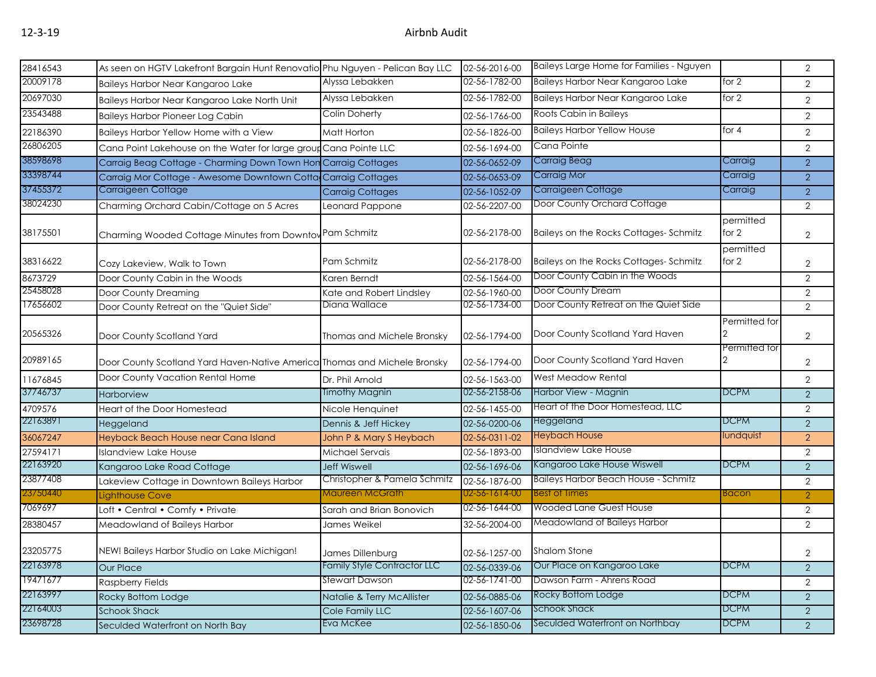| 28416543 |                                                                               |                              | 02-56-2016-00 | Baileys Large Home for Families - Nguyen |                    | 2              |
|----------|-------------------------------------------------------------------------------|------------------------------|---------------|------------------------------------------|--------------------|----------------|
|          | As seen on HGTV Lakefront Bargain Hunt Renovatio Phu Nguyen - Pelican Bay LLC |                              |               |                                          | for $2$            |                |
| 20009178 | Baileys Harbor Near Kangaroo Lake                                             | Alyssa Lebakken              | 02-56-1782-00 | Baileys Harbor Near Kangaroo Lake        |                    | $\overline{2}$ |
| 20697030 | Baileys Harbor Near Kangaroo Lake North Unit                                  | Alyssa Lebakken              | 02-56-1782-00 | Baileys Harbor Near Kangaroo Lake        | for 2              | 2              |
| 23543488 | <b>Baileys Harbor Pioneer Log Cabin</b>                                       | Colin Doherty                | 02-56-1766-00 | Roots Cabin in Baileys                   |                    | $\overline{2}$ |
| 22186390 | Baileys Harbor Yellow Home with a View                                        | Matt Horton                  | 02-56-1826-00 | <b>Baileys Harbor Yellow House</b>       | for $4$            | $\overline{2}$ |
| 26806205 | Cana Point Lakehouse on the Water for large group Cana Pointe LLC             |                              | 02-56-1694-00 | Cana Pointe                              |                    | $\overline{2}$ |
| 38598698 | Carraig Beag Cottage - Charming Down Town Hon Carraig Cottages                |                              | 02-56-0652-09 | Carraig Beag                             | Carraig            | 2              |
| 33398744 | Carraig Mor Cottage - Awesome Downtown Cotta Carraig Cottages                 |                              | 02-56-0653-09 | Carraig Mor                              | Carraig            | 2              |
| 37455372 | Carraigeen Cottage                                                            | <b>Carraig Cottages</b>      | 02-56-1052-09 | Carraigeen Cottage                       | Carraig            | $\overline{2}$ |
| 38024230 | Charming Orchard Cabin/Cottage on 5 Acres                                     | Leonard Pappone              | 02-56-2207-00 | Door County Orchard Cottage              |                    | 2              |
| 38175501 | Charming Wooded Cottage Minutes from Downtow Pam Schmitz                      |                              | 02-56-2178-00 | Baileys on the Rocks Cottages-Schmitz    | permitted<br>for 2 | $\overline{2}$ |
| 38316622 | Cozy Lakeview, Walk to Town                                                   | Pam Schmitz                  | 02-56-2178-00 | Baileys on the Rocks Cottages-Schmitz    | permitted<br>for 2 | $\overline{2}$ |
| 8673729  | Door County Cabin in the Woods                                                | Karen Berndt                 | 02-56-1564-00 | Door County Cabin in the Woods           |                    | $\overline{2}$ |
| 25458028 | Door County Dreaming                                                          | Kate and Robert Lindsley     | 02-56-1960-00 | Door County Dream                        |                    | $\overline{2}$ |
| 17656602 | Door County Retreat on the "Quiet Side"                                       | Diana Wallace                | 02-56-1734-00 | Door County Retreat on the Quiet Side    |                    | $\overline{2}$ |
| 20565326 | Door County Scotland Yard                                                     | Thomas and Michele Bronsky   | 02-56-1794-00 | Door County Scotland Yard Haven          | Permitted for      | $\overline{2}$ |
| 20989165 | Door County Scotland Yard Haven-Native America Thomas and Michele Bronsky     |                              | 02-56-1794-00 | Door County Scotland Yard Haven          | Permitted for      | $\overline{2}$ |
| 11676845 | Door County Vacation Rental Home                                              | Dr. Phil Arnold              | 02-56-1563-00 | West Meadow Rental                       |                    | $\overline{2}$ |
| 37746737 | <b>Harborview</b>                                                             | <b>Timothy Magnin</b>        | 02-56-2158-06 | Harbor View - Magnin                     | <b>DCPM</b>        | 2              |
| 4709576  | Heart of the Door Homestead                                                   | Nicole Henguinet             | 02-56-1455-00 | Heart of the Door Homestead, LLC         |                    | $\overline{2}$ |
| 22163891 | Heggeland                                                                     | Dennis & Jeff Hickey         | 02-56-0200-06 | Heggeland                                | <b>DCPM</b>        | 2              |
| 36067247 | Heyback Beach House near Cana Island                                          | John P & Mary S Heybach      | 02-56-0311-02 | Heybach House                            | lundquist          | 2              |
| 27594171 | Islandview Lake House                                                         | Michael Servais              | 02-56-1893-00 | Islandview Lake House                    |                    | $\overline{2}$ |
| 22163920 | Kangaroo Lake Road Cottage                                                    | <b>Jeff Wiswell</b>          | 02-56-1696-06 | Kangaroo Lake House Wiswell              | <b>DCPM</b>        | $\overline{2}$ |
| 23877408 | Lakeview Cottage in Downtown Baileys Harbor                                   | Christopher & Pamela Schmitz | 02-56-1876-00 | Baileys Harbor Beach House - Schmitz     |                    | $\sqrt{2}$     |
| 23750440 | Lighthouse Cove                                                               | Maureen McGrath              | 02-56-1614-00 | <b>Best of Times</b>                     | <b>Bacon</b>       | $\overline{2}$ |
| 7069697  | Loft • Central • Comfy • Private                                              | Sarah and Brian Bonovich     | 02-56-1644-00 | <b>Wooded Lane Guest House</b>           |                    | $\sqrt{2}$     |
| 28380457 | Meadowland of Baileys Harbor                                                  | James Weikel                 | 32-56-2004-00 | Meadowland of Baileys Harbor             |                    | $\overline{2}$ |
| 23205775 | NEW! Baileys Harbor Studio on Lake Michigan!                                  | James Dillenburg             | 02-56-1257-00 | Shalom Stone                             |                    | $\sqrt{2}$     |
| 22163978 | <b>Our Place</b>                                                              | Family Style Contractor LLC  | 02-56-0339-06 | Our Place on Kangaroo Lake               | <b>DCPM</b>        | $\overline{2}$ |
| 19471677 | <b>Raspberry Fields</b>                                                       | Stewart Dawson               | 02-56-1741-00 | Dawson Farm - Ahrens Road                |                    | $\overline{2}$ |
| 22163997 | Rocky Bottom Lodge                                                            | Natalie & Terry McAllister   | 02-56-0885-06 | Rocky Bottom Lodge                       | <b>DCPM</b>        | $\overline{2}$ |
| 22164003 | <b>Schook Shack</b>                                                           | Cole Family LLC              | 02-56-1607-06 | Schook Shack                             | <b>DCPM</b>        | 2              |
| 23698728 | Seculded Waterfront on North Bay                                              | Eva McKee                    | 02-56-1850-06 | Seculded Waterfront on Northbay          | <b>DCPM</b>        | 2              |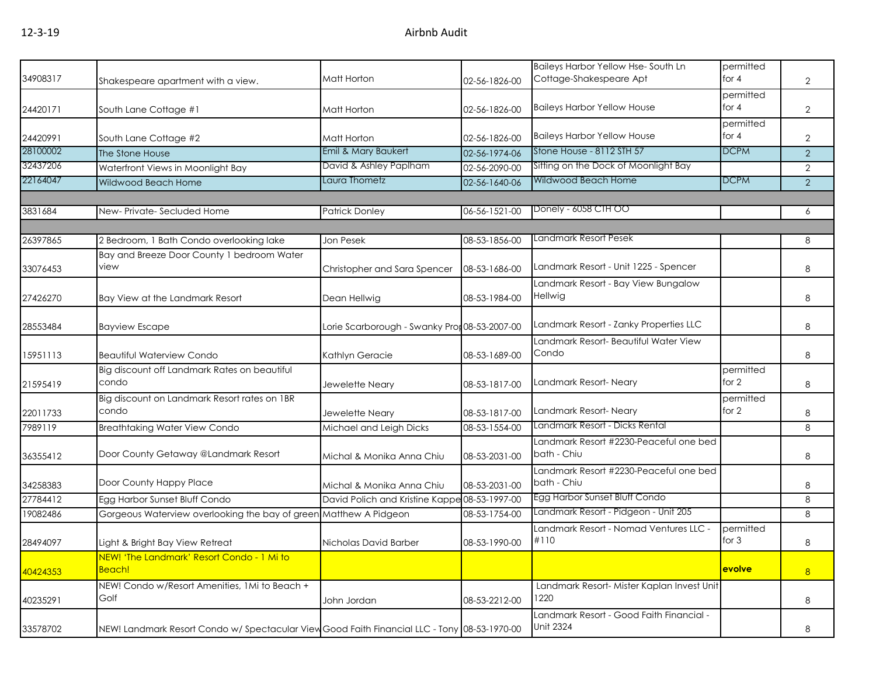| 34908317 | Shakespeare apartment with a view.                                                           | Matt Horton                                   | 02-56-1826-00 | Baileys Harbor Yellow Hse-South Ln<br>Cottage-Shakespeare Apt | permitted<br>for 4   | $\overline{2}$ |
|----------|----------------------------------------------------------------------------------------------|-----------------------------------------------|---------------|---------------------------------------------------------------|----------------------|----------------|
| 24420171 | South Lane Cottage #1                                                                        | Matt Horton                                   | 02-56-1826-00 | <b>Baileys Harbor Yellow House</b>                            | permitted<br>for $4$ | $\overline{2}$ |
| 24420991 | South Lane Cottage #2                                                                        | Matt Horton                                   | 02-56-1826-00 | <b>Baileys Harbor Yellow House</b>                            | permitted<br>for 4   | $\overline{2}$ |
| 28100002 | The Stone House                                                                              | Emil & Mary Baukert                           | 02-56-1974-06 | Stone House - 8112 STH 57                                     | <b>DCPM</b>          | $\overline{2}$ |
| 32437206 | Waterfront Views in Moonlight Bay                                                            | David & Ashley Paplham                        | 02-56-2090-00 | Sitting on the Dock of Moonlight Bay                          |                      | $\overline{2}$ |
| 22164047 | Wildwood Beach Home                                                                          | Laura Thometz                                 | 02-56-1640-06 | Wildwood Beach Home                                           | <b>DCPM</b>          | 2              |
|          |                                                                                              |                                               |               |                                                               |                      |                |
| 3831684  | New-Private-Secluded Home                                                                    | <b>Patrick Donley</b>                         | 06-56-1521-00 | Donely - 6058 CTH OO                                          |                      | 6              |
| 26397865 | 2 Bedroom, 1 Bath Condo overlooking lake                                                     | Jon Pesek                                     | 08-53-1856-00 | Landmark Resort Pesek                                         |                      | 8              |
|          | Bay and Breeze Door County 1 bedroom Water                                                   |                                               |               |                                                               |                      |                |
| 33076453 | view                                                                                         | Christopher and Sara Spencer                  | 08-53-1686-00 | Landmark Resort - Unit 1225 - Spencer                         |                      | 8              |
| 27426270 | Bay View at the Landmark Resort                                                              | Dean Hellwig                                  | 08-53-1984-00 | Landmark Resort - Bay View Bungalow<br>Hellwig                |                      | 8              |
| 28553484 | <b>Bayview Escape</b>                                                                        | Lorie Scarborough - Swanky Pror 08-53-2007-00 |               | Landmark Resort - Zanky Properties LLC                        |                      | 8              |
| 15951113 | <b>Beautiful Waterview Condo</b>                                                             | Kathlyn Geracie                               | 08-53-1689-00 | Landmark Resort- Beautiful Water View<br>Condo                |                      | 8              |
| 21595419 | Big discount off Landmark Rates on beautiful<br>condo                                        | Jewelette Neary                               | 08-53-1817-00 | Landmark Resort-Neary                                         | permitted<br>for 2   | 8              |
| 22011733 | Big discount on Landmark Resort rates on 1BR<br>condo                                        | Jewelette Neary                               | 08-53-1817-00 | Landmark Resort- Neary                                        | permitted<br>for 2   | 8              |
| 7989119  | <b>Breathtaking Water View Condo</b>                                                         | Michael and Leigh Dicks                       | 08-53-1554-00 | Landmark Resort - Dicks Rental                                |                      | 8              |
| 36355412 | Door County Getaway @Landmark Resort                                                         | Michal & Monika Anna Chiu                     | 08-53-2031-00 | Landmark Resort #2230-Peaceful one bed<br>bath - Chiu         |                      | 8              |
| 34258383 | Door County Happy Place                                                                      | Michal & Monika Anna Chiu                     | 08-53-2031-00 | Landmark Resort #2230-Peaceful one bed<br>bath - Chiu         |                      | 8              |
| 27784412 | Egg Harbor Sunset Bluff Condo                                                                | David Polich and Kristine Kappe 08-53-1997-00 |               | Egg Harbor Sunset Bluff Condo                                 |                      | 8              |
| 19082486 | Gorgeous Waterview overlooking the bay of green Matthew A Pidgeon                            |                                               | 08-53-1754-00 | Landmark Resort - Pidgeon - Unit 205                          |                      | 8              |
| 28494097 | Light & Bright Bay View Retreat                                                              | Nicholas David Barber                         | 08-53-1990-00 | Landmark Resort - Nomad Ventures LLC -<br>#110                | permitted<br>for $3$ | 8              |
| 40424353 | <u>NEW! 'The Landmark' Resort Condo - 1 Mi to </u><br>Beach!                                 |                                               |               |                                                               | evolve               | 8              |
| 40235291 | NEW! Condo w/Resort Amenities, 1Mi to Beach +<br>Golf                                        | John Jordan                                   | 08-53-2212-00 | Landmark Resort- Mister Kaplan Invest Unit<br>1220            |                      | 8              |
| 33578702 | NEW! Landmark Resort Condo w/ Spectacular View Good Faith Financial LLC - Tony 08-53-1970-00 |                                               |               | - andmark Resort - Good Faith Financial<br><b>Unit 2324</b>   |                      | 8              |
|          |                                                                                              |                                               |               |                                                               |                      |                |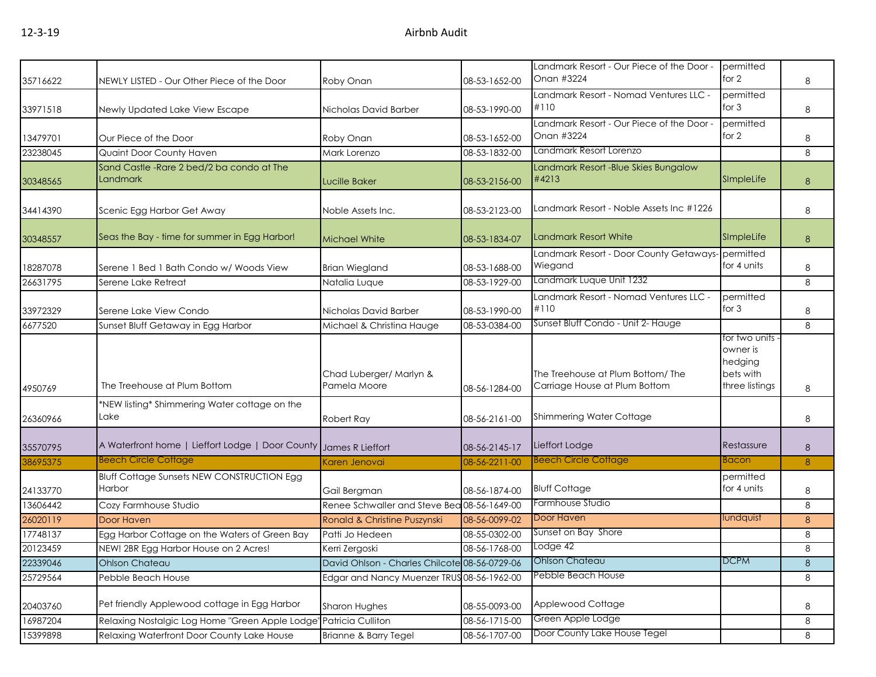|          |                                                                     |                                               |               | Landmark Resort - Our Piece of the Door -<br>Onan #3224           | permitted<br>for 2                                                  |         |
|----------|---------------------------------------------------------------------|-----------------------------------------------|---------------|-------------------------------------------------------------------|---------------------------------------------------------------------|---------|
| 35716622 | NEWLY LISTED - Our Other Piece of the Door                          | Roby Onan                                     | 08-53-1652-00 |                                                                   | permitted                                                           | 8       |
| 33971518 | Newly Updated Lake View Escape                                      | Nicholas David Barber                         | 08-53-1990-00 | Landmark Resort - Nomad Ventures LLC -<br>#110                    | for $3$                                                             | 8       |
|          |                                                                     |                                               |               | Landmark Resort - Our Piece of the Door -                         | permitted                                                           |         |
| 13479701 | Our Piece of the Door                                               | Roby Onan                                     | 08-53-1652-00 | Onan #3224                                                        | for 2                                                               | 8       |
| 23238045 | Quaint Door County Haven                                            | Mark Lorenzo                                  | 08-53-1832-00 | Landmark Resort Lorenzo                                           |                                                                     | 8       |
| 30348565 | Sand Castle - Rare 2 bed/2 ba condo at The<br><b>Landmark</b>       | <b>Lucille Baker</b>                          | 08-53-2156-00 | Landmark Resort - Blue Skies Bungalow<br>#4213                    | SImpleLife                                                          | 8       |
| 34414390 | Scenic Egg Harbor Get Away                                          | Noble Assets Inc.                             | 08-53-2123-00 | Landmark Resort - Noble Assets Inc #1226                          |                                                                     | 8       |
| 30348557 | Seas the Bay - time for summer in Egg Harbor!                       | <b>Michael White</b>                          | 08-53-1834-07 | <b>Landmark Resort White</b>                                      | SImpleLife                                                          | 8       |
| 18287078 | Serene 1 Bed 1 Bath Condo w/ Woods View                             | <b>Brian Wiegland</b>                         | 08-53-1688-00 | Landmark Resort - Door County Getaways-<br>Wiegand                | permitted<br>for 4 units                                            | 8       |
| 26631795 | Serene Lake Retreat                                                 | Natalia Luque                                 | 08-53-1929-00 | Landmark Luque Unit 1232                                          |                                                                     | 8       |
|          |                                                                     |                                               |               | Landmark Resort - Nomad Ventures LLC -                            | permitted                                                           |         |
| 33972329 | Serene Lake View Condo                                              | Nicholas David Barber                         | 08-53-1990-00 | #110                                                              | for $3$                                                             | 8       |
| 6677520  | Sunset Bluff Getaway in Egg Harbor                                  | Michael & Christina Hauge                     | 08-53-0384-00 | Sunset Bluff Condo - Unit 2- Hauge                                |                                                                     | 8       |
| 4950769  | The Treehouse at Plum Bottom                                        | Chad Luberger/ Marlyn &<br>Pamela Moore       | 08-56-1284-00 | The Treehouse at Plum Bottom/The<br>Carriage House at Plum Bottom | for two units<br>owner is<br>hedging<br>bets with<br>three listings | 8       |
| 26360966 | *NEW listing* Shimmering Water cottage on the<br>Lake               | Robert Ray                                    | 08-56-2161-00 | <b>Shimmering Water Cottage</b>                                   |                                                                     | 8       |
| 35570795 | A Waterfront home   Lieffort Lodge   Door County   James R Lieffort |                                               | 08-56-2145-17 | Lieffort Lodge                                                    | Restassure                                                          | 8       |
| 38695375 | <b>Beech Circle Cottage</b>                                         | Karen Jenovai                                 | 08-56-2211-00 | <b>Beech Circle Cottage</b>                                       | Bacon                                                               | 8       |
|          | <b>Bluff Cottage Sunsets NEW CONSTRUCTION Egg</b>                   |                                               |               |                                                                   | permitted                                                           |         |
| 24133770 | Harbor                                                              | Gail Bergman                                  | 08-56-1874-00 | <b>Bluff Cottage</b>                                              | for 4 units                                                         | 8       |
| 13606442 | Cozy Farmhouse Studio                                               | Renee Schwaller and Steve Bea 08-56-1649-00   |               | Farmhouse Studio                                                  |                                                                     | 8       |
| 26020119 | Door Haven                                                          | Ronald & Christine Puszynski                  | 08-56-0099-02 | Door Haven                                                        | lundquist                                                           | 8       |
| 17748137 | Egg Harbor Cottage on the Waters of Green Bay                       | Patti Jo Hedeen                               | 08-55-0302-00 | Sunset on Bay Shore                                               |                                                                     | 8       |
| 20123459 | NEW! 2BR Egg Harbor House on 2 Acres!                               | Kerri Zergoski                                | 08-56-1768-00 | Lodge 42                                                          |                                                                     | 8       |
| 22339046 | <b>Ohlson Chateau</b>                                               | David Ohlson - Charles Chilcote 08-56-0729-06 |               | <b>Ohlson Chateau</b>                                             | <b>DCPM</b>                                                         | $\,8\,$ |
| 25729564 | Pebble Beach House                                                  | Edgar and Nancy Muenzer TRUS 08-56-1962-00    |               | Pebble Beach House                                                |                                                                     | 8       |
| 20403760 | Pet friendly Applewood cottage in Egg Harbor                        | Sharon Hughes                                 | 08-55-0093-00 | Applewood Cottage                                                 |                                                                     | 8       |
| 16987204 | Relaxing Nostalgic Log Home "Green Apple Lodge"                     | Patricia Culliton                             | 08-56-1715-00 | Green Apple Lodge                                                 |                                                                     | 8       |
| 15399898 | Relaxing Waterfront Door County Lake House                          | Brianne & Barry Tegel                         | 08-56-1707-00 | Door County Lake House Tegel                                      |                                                                     | 8       |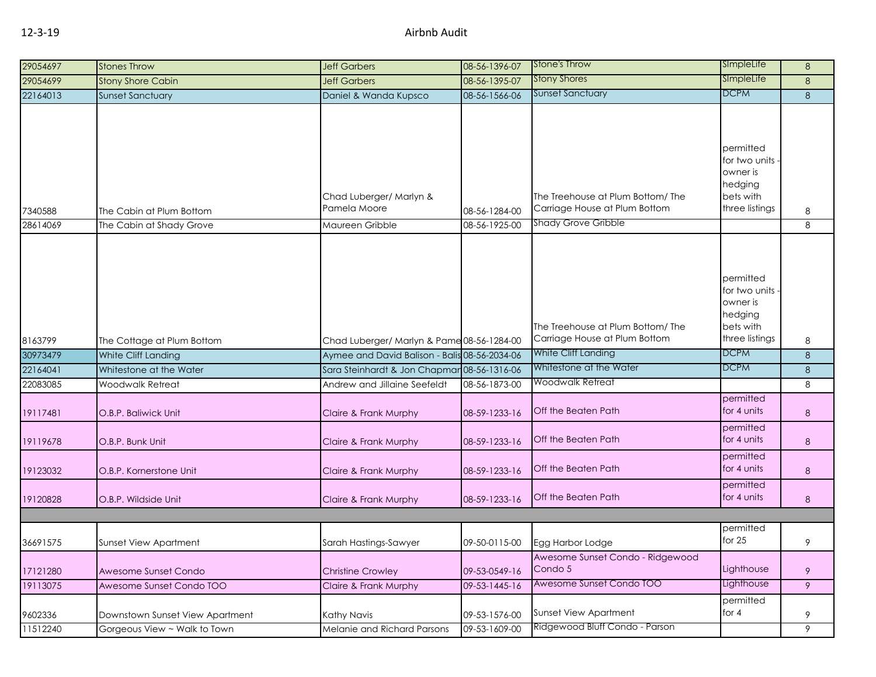| 29054697 | <b>Stones Throw</b>             | <b>Jeff Garbers</b>                           | 08-56-1396-07 | Stone's Throw                                                      | SImpleLife                                                                         | 8 |
|----------|---------------------------------|-----------------------------------------------|---------------|--------------------------------------------------------------------|------------------------------------------------------------------------------------|---|
| 29054699 | <b>Stony Shore Cabin</b>        | <b>Jeff Garbers</b>                           | 08-56-1395-07 | <b>Stony Shores</b>                                                | SimpleLife                                                                         | 8 |
| 22164013 | <b>Sunset Sanctuary</b>         | Daniel & Wanda Kupsco                         | 08-56-1566-06 | <b>Sunset Sanctuary</b>                                            | <b>DCPM</b>                                                                        | 8 |
| 7340588  | The Cabin at Plum Bottom        | Chad Luberger/ Marlyn &<br>Pamela Moore       | 08-56-1284-00 | The Treehouse at Plum Bottom/ The<br>Carriage House at Plum Bottom | permitted<br>for two units<br>owner is<br>hedging<br>bets with<br>three listings   | 8 |
| 28614069 | The Cabin at Shady Grove        | Maureen Gribble                               | 08-56-1925-00 | <b>Shady Grove Gribble</b>                                         |                                                                                    | 8 |
| 8163799  | The Cottage at Plum Bottom      | Chad Luberger/ Marlyn & Pame 08-56-1284-00    |               | The Treehouse at Plum Bottom/ The<br>Carriage House at Plum Bottom | permitted<br>for two units -<br>owner is<br>hedging<br>bets with<br>three listings | 8 |
| 30973479 | White Cliff Landing             | Aymee and David Balison - Balis 08-56-2034-06 |               | <b>White Cliff Landing</b>                                         | <b>DCPM</b>                                                                        | 8 |
| 22164041 | Whitestone at the Water         | Sara Steinhardt & Jon Chapmar 08-56-1316-06   |               | Whitestone at the Water                                            | <b>DCPM</b>                                                                        | 8 |
| 22083085 | Woodwalk Retreat                | Andrew and Jillaine Seefeldt                  | 08-56-1873-00 | Woodwalk Retreat                                                   |                                                                                    | 8 |
| 19117481 | O.B.P. Baliwick Unit            | Claire & Frank Murphy                         | 08-59-1233-16 | <b>Off the Beaten Path</b>                                         | permitted<br>for 4 units<br>permitted                                              | 8 |
| 19119678 | O.B.P. Bunk Unit                | Claire & Frank Murphy                         | 08-59-1233-16 | <b>Off the Beaten Path</b>                                         | for 4 units                                                                        | 8 |
| 19123032 | O.B.P. Kornerstone Unit         | Claire & Frank Murphy                         | 08-59-1233-16 | Off the Beaten Path                                                | permitted<br>for 4 units                                                           | 8 |
| 19120828 | O.B.P. Wildside Unit            | Claire & Frank Murphy                         | 08-59-1233-16 | <b>Off the Beaten Path</b>                                         | permitted<br>for 4 units                                                           | 8 |
|          |                                 |                                               |               |                                                                    |                                                                                    |   |
| 36691575 | <b>Sunset View Apartment</b>    | Sarah Hastings-Sawyer                         | 09-50-0115-00 | Egg Harbor Lodge                                                   | permitted<br>for 25                                                                | 9 |
| 17121280 | Awesome Sunset Condo            | <b>Christine Crowley</b>                      | 09-53-0549-16 | Awesome Sunset Condo - Ridgewood<br>Condo 5                        | Lighthouse                                                                         | 9 |
| 19113075 | Awesome Sunset Condo TOO        | Claire & Frank Murphy                         | 09-53-1445-16 | Awesome Sunset Condo TOO                                           | Lighthouse                                                                         | 9 |
| 9602336  | Downstown Sunset View Apartment | Kathy Navis                                   | 09-53-1576-00 | Sunset View Apartment                                              | permitted<br>for $4$                                                               | 9 |
| 11512240 | Gorgeous View ~ Walk to Town    | Melanie and Richard Parsons                   | 09-53-1609-00 | Ridgewood Bluff Condo - Parson                                     |                                                                                    | 9 |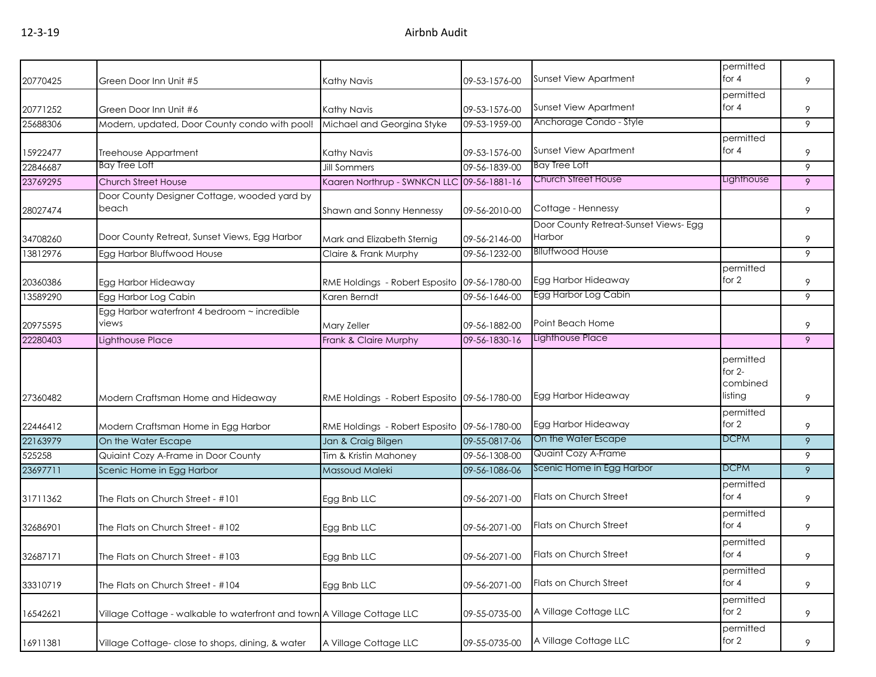|          |                                                                         |                                              |               |                                       | permitted                                    |   |
|----------|-------------------------------------------------------------------------|----------------------------------------------|---------------|---------------------------------------|----------------------------------------------|---|
| 20770425 | Green Door Inn Unit #5                                                  | <b>Kathy Navis</b>                           | 09-53-1576-00 | <b>Sunset View Apartment</b>          | for 4                                        | 9 |
|          |                                                                         |                                              |               |                                       | permitted                                    |   |
| 20771252 | Green Door Inn Unit #6                                                  | <b>Kathy Navis</b>                           | 09-53-1576-00 | Sunset View Apartment                 | for $4$                                      | 9 |
| 25688306 | Modern, updated, Door County condo with pool!                           | Michael and Georgina Styke                   | 09-53-1959-00 | Anchorage Condo - Style               |                                              | 9 |
|          |                                                                         |                                              |               |                                       | permitted                                    |   |
| 15922477 | Treehouse Appartment                                                    | Kathy Navis                                  | 09-53-1576-00 | <b>Sunset View Apartment</b>          | for $4$                                      | 9 |
| 22846687 | <b>Bay Tree Loft</b>                                                    | <b>Jill Sommers</b>                          | 09-56-1839-00 | <b>Bay Tree Loft</b>                  |                                              | 9 |
| 23769295 | <b>Church Street House</b>                                              | Kaaren Northrup - SWNKCN LLC 09-56-1881-16   |               | <b>Church Street House</b>            | Lighthouse                                   | 9 |
|          | Door County Designer Cottage, wooded yard by                            |                                              |               |                                       |                                              |   |
| 28027474 | beach                                                                   | Shawn and Sonny Hennessy                     | 09-56-2010-00 | Cottage - Hennessy                    |                                              | 9 |
|          |                                                                         |                                              |               | Door County Retreat-Sunset Views- Egg |                                              |   |
| 34708260 | Door County Retreat, Sunset Views, Egg Harbor                           | Mark and Elizabeth Sternig                   | 09-56-2146-00 | Harbor                                |                                              | 9 |
| 13812976 | Egg Harbor Bluffwood House                                              | Claire & Frank Murphy                        | 09-56-1232-00 | <b>Blluffwood House</b>               |                                              | 9 |
|          |                                                                         |                                              |               |                                       | permitted                                    |   |
| 20360386 | Egg Harbor Hideaway                                                     | RME Holdings - Robert Esposito 09-56-1780-00 |               | Egg Harbor Hideaway                   | for 2                                        | 9 |
| 13589290 | Egg Harbor Log Cabin                                                    | Karen Berndt                                 | 09-56-1646-00 | Egg Harbor Log Cabin                  |                                              | 9 |
|          | Egg Harbor waterfront 4 bedroom ~ incredible                            |                                              |               |                                       |                                              |   |
| 20975595 | views                                                                   | Mary Zeller                                  | 09-56-1882-00 | Point Beach Home                      |                                              | 9 |
| 22280403 | Lighthouse Place                                                        | Frank & Claire Murphy                        | 09-56-1830-16 | Lighthouse Place                      |                                              | 9 |
|          |                                                                         |                                              |               | Egg Harbor Hideaway                   | permitted<br>for $2-$<br>combined<br>listing |   |
| 27360482 | Modern Craftsman Home and Hideaway                                      | RME Holdings - Robert Esposito 09-56-1780-00 |               |                                       |                                              | 9 |
| 22446412 | Modern Craftsman Home in Egg Harbor                                     | RME Holdings - Robert Esposito 09-56-1780-00 |               | Egg Harbor Hideaway                   | permitted<br>for 2                           | 9 |
| 22163979 | On the Water Escape                                                     | Jan & Craig Bilgen                           | 09-55-0817-06 | On the Water Escape                   | <b>DCPM</b>                                  | 9 |
| 525258   | Quiaint Cozy A-Frame in Door County                                     | Tim & Kristin Mahoney                        | 09-56-1308-00 | Quaint Cozy A-Frame                   |                                              | 9 |
| 23697711 | Scenic Home in Egg Harbor                                               | Massoud Maleki                               | 09-56-1086-06 | Scenic Home in Egg Harbor             | <b>DCPM</b>                                  | 9 |
| 31711362 | The Flats on Church Street - #101                                       | Egg Bnb LLC                                  | 09-56-2071-00 | Flats on Church Street                | permitted<br>for $4$                         | 9 |
| 32686901 | The Flats on Church Street - #102                                       | Egg Bnb LLC                                  | 09-56-2071-00 | Flats on Church Street                | permitted<br>for $4$                         | 9 |
| 32687171 | The Flats on Church Street - #103                                       | Egg Bnb LLC                                  | 09-56-2071-00 | Flats on Church Street                | permitted<br>for 4                           | 9 |
| 33310719 | The Flats on Church Street - #104                                       | Egg Bnb LLC                                  | 09-56-2071-00 | Flats on Church Street                | permitted<br>for $4$                         | 9 |
| 16542621 | Village Cottage - walkable to waterfront and town A Village Cottage LLC |                                              | 09-55-0735-00 | A Village Cottage LLC                 | permitted<br>for 2                           | 9 |
| 16911381 | Village Cottage- close to shops, dining, & water                        | A Village Cottage LLC                        | 09-55-0735-00 | A Village Cottage LLC                 | permitted<br>for 2                           | 9 |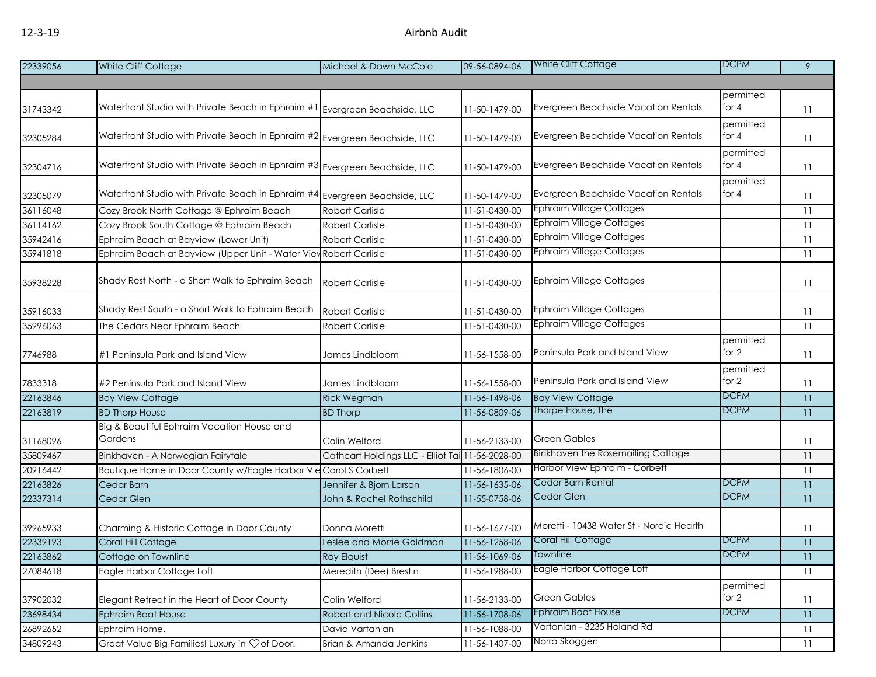| 22339056             | White Cliff Cottage                                                         | Michael & Dawn McCole                            | 09-56-0894-06                  | White Cliff Cottage                      | <b>DCPM</b>        | 9  |
|----------------------|-----------------------------------------------------------------------------|--------------------------------------------------|--------------------------------|------------------------------------------|--------------------|----|
|                      |                                                                             |                                                  |                                |                                          |                    |    |
|                      |                                                                             |                                                  |                                |                                          | permitted          |    |
| 31743342             | Waterfront Studio with Private Beach in Ephraim #1                          | Evergreen Beachside, LLC                         | 11-50-1479-00                  | Evergreen Beachside Vacation Rentals     | for $4$            | 11 |
|                      |                                                                             |                                                  |                                |                                          | permitted          |    |
| 32305284             | Waterfront Studio with Private Beach in Ephraim #2 Evergreen Beachside, LLC |                                                  | 11-50-1479-00                  | Evergreen Beachside Vacation Rentals     | for 4              | 11 |
|                      |                                                                             |                                                  |                                |                                          | permitted          |    |
| 32304716             | Waterfront Studio with Private Beach in Ephraim #3 Evergreen Beachside, LLC |                                                  | 11-50-1479-00                  | Evergreen Beachside Vacation Rentals     | for $4$            | 11 |
|                      |                                                                             |                                                  |                                |                                          | permitted          |    |
| 32305079             | Waterfront Studio with Private Beach in Ephraim #4 Evergreen Beachside, LLC |                                                  | 11-50-1479-00                  | Evergreen Beachside Vacation Rentals     | for 4              | 11 |
| 36116048             | Cozy Brook North Cottage @ Ephraim Beach                                    | <b>Robert Carlisle</b>                           | 11-51-0430-00                  | <b>Ephraim Village Cottages</b>          |                    | 11 |
| 36114162             | Cozy Brook South Cottage @ Ephraim Beach                                    | <b>Robert Carlisle</b>                           | 11-51-0430-00                  | <b>Ephraim Village Cottages</b>          |                    | 11 |
| 35942416             | Ephraim Beach at Bayview (Lower Unit)                                       | <b>Robert Carlisle</b>                           | 11-51-0430-00                  | <b>Ephraim Village Cottages</b>          |                    | 11 |
| 35941818             | Ephraim Beach at Bayview (Upper Unit - Water View Robert Carlisle           |                                                  | 11-51-0430-00                  | <b>Ephraim Village Cottages</b>          |                    | 11 |
|                      |                                                                             |                                                  |                                |                                          |                    |    |
| 35938228             | Shady Rest North - a Short Walk to Ephraim Beach                            | <b>Robert Carlisle</b>                           | 11-51-0430-00                  | <b>Ephraim Village Cottages</b>          |                    | 11 |
|                      |                                                                             |                                                  |                                |                                          |                    |    |
| 35916033             | Shady Rest South - a Short Walk to Ephraim Beach                            | <b>Robert Carlisle</b>                           | 11-51-0430-00                  | <b>Ephraim Village Cottages</b>          |                    | 11 |
| 35996063             | The Cedars Near Ephraim Beach                                               | Robert Carlisle                                  | 11-51-0430-00                  | Ephraim Village Cottages                 |                    | 11 |
|                      |                                                                             |                                                  |                                |                                          | permitted          |    |
| 7746988              | #1 Peninsula Park and Island View                                           | James Lindbloom                                  | 11-56-1558-00                  | Peninsula Park and Island View           | for 2              | 11 |
|                      |                                                                             |                                                  |                                |                                          | permitted          |    |
| 7833318              | #2 Peninsula Park and Island View                                           | James Lindbloom                                  | 11-56-1558-00                  | Peninsula Park and Island View           | for 2              | 11 |
| 22163846             | <b>Bay View Cottage</b>                                                     | <b>Rick Wegman</b>                               | 11-56-1498-06                  | <b>Bay View Cottage</b>                  | <b>DCPM</b>        | 11 |
| 22163819             | <b>BD Thorp House</b>                                                       | <b>BD Thorp</b>                                  | 11-56-0809-06                  | Thorpe House, The                        | <b>DCPM</b>        | 11 |
|                      | Big & Beautiful Ephraim Vacation House and<br>Gardens                       |                                                  |                                | <b>Green Gables</b>                      |                    |    |
| 31168096             |                                                                             | Colin Welford                                    | 11-56-2133-00                  | <b>Binkhaven the Rosemailing Cottage</b> |                    | 11 |
| 35809467             | Binkhaven - A Norwegian Fairytale                                           | Cathcart Holdings LLC - Elliot Tai 11-56-2028-00 |                                | Harbor View Ephraim - Corbett            |                    | 11 |
| 20916442             | Boutique Home in Door County w/Eagle Harbor Vie Carol S Corbett             |                                                  | 11-56-1806-00                  | Cedar Barn Rental                        | <b>DCPM</b>        | 11 |
| 22163826             | Cedar Barn                                                                  | Jennifer & Bjorn Larson                          | 11-56-1635-06                  | Cedar Glen                               | <b>DCPM</b>        | 11 |
| 22337314             | Cedar Glen                                                                  | John & Rachel Rothschild                         | 11-55-0758-06                  |                                          |                    | 11 |
|                      |                                                                             |                                                  |                                | Moretti - 10438 Water St - Nordic Hearth |                    |    |
| 39965933<br>22339193 | Charming & Historic Cottage in Door County                                  | Donna Moretti                                    | 11-56-1677-00                  | Coral Hill Cottage                       | <b>DCPM</b>        | 11 |
| 22163862             | Coral Hill Cottage                                                          | Leslee and Morrie Goldman                        | 11-56-1258-06                  | fownline                                 | DCPM               | 11 |
| 27084618             | Cottage on Townline                                                         | Roy Elquist                                      | 11-56-1069-06                  | Eagle Harbor Cottage Loft                |                    | H  |
|                      | Eagle Harbor Cottage Loft                                                   | Meredith (Dee) Brestin                           | 11-56-1988-00                  |                                          |                    | 11 |
|                      |                                                                             |                                                  |                                | <b>Green Gables</b>                      | permitted<br>for 2 |    |
| 37902032<br>23698434 | Elegant Retreat in the Heart of Door County                                 | Colin Welford                                    | 11-56-2133-00                  | Ephraim Boat House                       | <b>DCPM</b>        | 11 |
| 26892652             | <b>Ephraim Boat House</b><br>Ephraim Home.                                  | Robert and Nicole Collins<br>David Vartanian     | 11-56-1708-06<br>11-56-1088-00 | Vartanian - 3235 Holand Rd               |                    | 11 |
|                      |                                                                             |                                                  |                                | Norra Skoggen                            |                    | 11 |
| 34809243             | Great Value Big Families! Luxury in $\heartsuit$ of Door!                   | Brian & Amanda Jenkins                           | 11-56-1407-00                  |                                          |                    | 11 |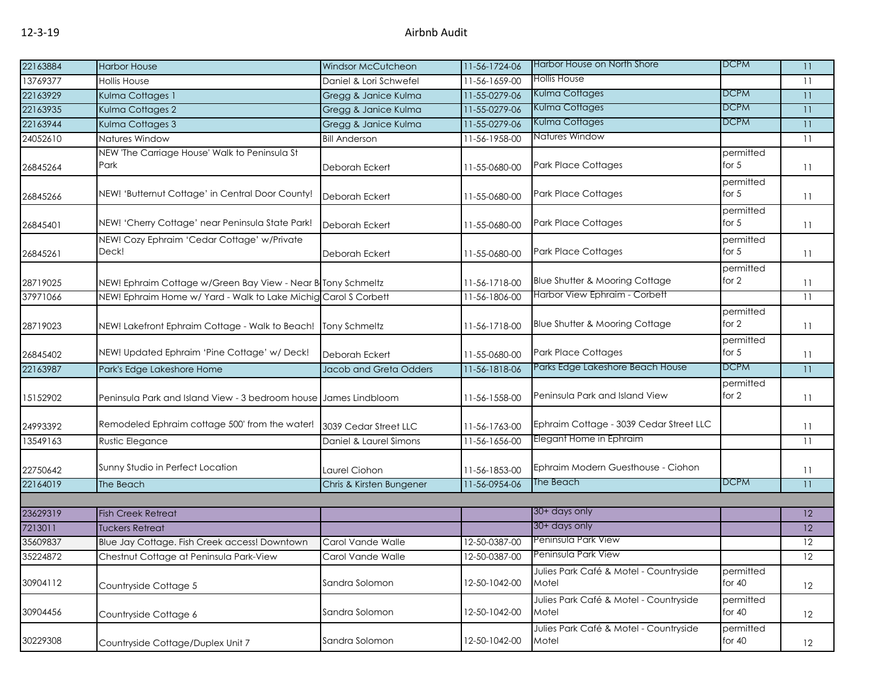| 22163884 | <b>Harbor House</b>                                              | <b>Windsor McCutcheon</b> | 11-56-1724-06 | Harbor House on North Shore                     | <b>DCPM</b>           | 11              |
|----------|------------------------------------------------------------------|---------------------------|---------------|-------------------------------------------------|-----------------------|-----------------|
| 13769377 | <b>Hollis House</b>                                              | Daniel & Lori Schwefel    | 11-56-1659-00 | Hollis House                                    |                       | 11              |
| 22163929 | Kulma Cottages 1                                                 | Gregg & Janice Kulma      | 11-55-0279-06 | Kulma Cottages                                  | <b>DCPM</b>           | 11              |
| 22163935 | Kulma Cottages 2                                                 | Gregg & Janice Kulma      | 11-55-0279-06 | Kulma Cottages                                  | <b>DCPM</b>           | 11              |
| 22163944 | Kulma Cottages 3                                                 | Gregg & Janice Kulma      | 11-55-0279-06 | Kulma Cottages                                  | <b>DCPM</b>           | 11              |
| 24052610 | Natures Window                                                   | <b>Bill Anderson</b>      | 11-56-1958-00 | Natures Window                                  |                       | 11              |
| 26845264 | NEW 'The Carriage House' Walk to Peninsula St<br>Park            | Deborah Eckert            | 11-55-0680-00 | <b>Park Place Cottages</b>                      | permitted<br>for $5$  | 11              |
| 26845266 | NEW! 'Butternut Cottage' in Central Door County!                 | Deborah Eckert            | 11-55-0680-00 | <b>Park Place Cottages</b>                      | permitted<br>for $5$  | 11              |
| 26845401 | NEW! 'Cherry Cottage' near Peninsula State Park!                 | Deborah Eckert            | 11-55-0680-00 | <b>Park Place Cottages</b>                      | permitted<br>for $5$  | 11              |
| 26845261 | NEW! Cozy Ephraim 'Cedar Cottage' w/Private<br>Deck!             | Deborah Eckert            | 11-55-0680-00 | <b>Park Place Cottages</b>                      | permitted<br>for $5$  | 11              |
| 28719025 | NEW! Ephraim Cottage w/Green Bay View - Near B Tony Schmeltz     |                           | 11-56-1718-00 | Blue Shutter & Mooring Cottage                  | permitted<br>for 2    | 11              |
| 37971066 | NEW! Ephraim Home w/ Yard - Walk to Lake Michig Carol S Corbett  |                           | 11-56-1806-00 | Harbor View Ephraim - Corbett                   |                       | 11              |
| 28719023 | NEW! Lakefront Ephraim Cottage - Walk to Beach!                  | <b>Tony Schmeltz</b>      | 11-56-1718-00 | Blue Shutter & Mooring Cottage                  | permitted<br>for 2    | 11              |
| 26845402 | NEW! Updated Ephraim 'Pine Cottage' w/ Deck!                     | Deborah Eckert            | 11-55-0680-00 | <b>Park Place Cottages</b>                      | permitted<br>for $5$  | 11              |
| 22163987 | Park's Edge Lakeshore Home                                       | Jacob and Greta Odders    | 11-56-1818-06 | Parks Edge Lakeshore Beach House                | <b>DCPM</b>           | 11              |
| 15152902 | Peninsula Park and Island View - 3 bedroom house James Lindbloom |                           | 11-56-1558-00 | Peninsula Park and Island View                  | permitted<br>for 2    | 11              |
| 24993392 | Remodeled Ephraim cottage 500' from the water!                   | 3039 Cedar Street LLC     | 11-56-1763-00 | Ephraim Cottage - 3039 Cedar Street LLC         |                       | 11              |
| 13549163 | Rustic Elegance                                                  | Daniel & Laurel Simons    | 11-56-1656-00 | Elegant Home in Ephraim                         |                       | 11              |
| 22750642 | Sunny Studio in Perfect Location                                 | Laurel Ciohon             | 11-56-1853-00 | Ephraim Modern Guesthouse - Ciohon              |                       | 11              |
| 22164019 | The Beach                                                        | Chris & Kirsten Bungener  | 11-56-0954-06 | The Beach                                       | <b>DCPM</b>           | 11              |
|          |                                                                  |                           |               |                                                 |                       |                 |
| 23629319 | <b>Fish Creek Retreat</b>                                        |                           |               | 30+ days only                                   |                       | 12 <sup>°</sup> |
| 7213011  | Tuckers Retreat                                                  |                           |               | 30+ days only                                   |                       | 12              |
| 35609837 | Blue Jay Cottage. Fish Creek access! Downtown                    | Carol Vande Walle         | 12-50-0387-00 | Peninsula Park View                             |                       | 12              |
| 35224872 | Chestnut Cottage at Peninsula Park-View                          | Carol Vande Walle         | 12-50-0387-00 | Peninsula Park View                             |                       | 12              |
| 30904112 | Countryside Cottage 5                                            | Sandra Solomon            | 12-50-1042-00 | Julies Park Café & Motel - Countryside<br>Motel | permitted<br>for $40$ | 12              |
| 30904456 | Countryside Cottage 6                                            | Sandra Solomon            | 12-50-1042-00 | Julies Park Café & Motel - Countryside<br>Motel | permitted<br>for $40$ | 12              |
| 30229308 | Countryside Cottage/Duplex Unit 7                                | Sandra Solomon            | 12-50-1042-00 | Julies Park Café & Motel - Countryside<br>Motel | permitted<br>for $40$ | 12              |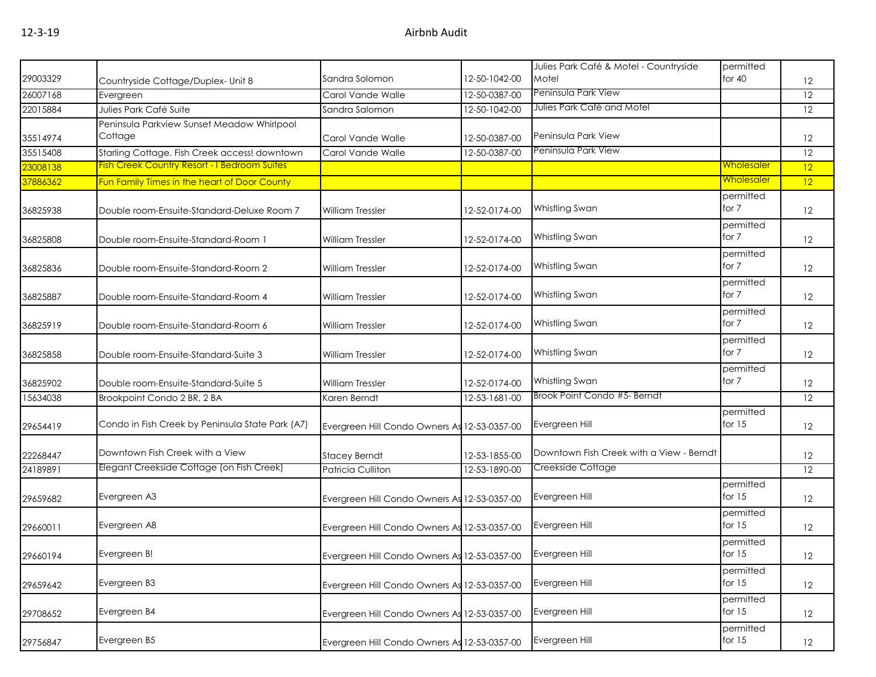|          |                                                     |                                              |               | Julies Park Café & Motel - Countryside   | permitted         |                   |
|----------|-----------------------------------------------------|----------------------------------------------|---------------|------------------------------------------|-------------------|-------------------|
| 29003329 | Countryside Cottage/Duplex- Unit 8                  | Sandra Solomon                               | 12-50-1042-00 | Motel                                    | for 40            | 12                |
| 26007168 | Evergreen                                           | Carol Vande Walle                            | 12-50-0387-00 | Peninsula Park View                      |                   | 12                |
| 22015884 | Julies Park Café Suite                              | Sandra Salomon                               | 12-50-1042-00 | Julies Park Café and Motel               |                   | 12                |
|          | Peninsula Parkview Sunset Meadow Whirlpool          |                                              |               |                                          |                   |                   |
| 35514974 | Cottage                                             | Carol Vande Walle                            | 12-50-0387-00 | Peninsula Park View                      |                   | $12 \,$           |
| 35515408 | Starling Cottage. Fish Creek access! downtown       | Carol Vande Walle                            | 12-50-0387-00 | Peninsula Park View                      |                   | 12                |
| 23008138 | <b>Fish Creek Country Resort - I Bedroom Suites</b> |                                              |               |                                          | Wholesaler        | 12                |
| 37886362 | Fun Family Times in the heart of Door County        |                                              |               |                                          | <u>Wholesaler</u> | 12                |
|          |                                                     |                                              |               |                                          | permitted         |                   |
| 36825938 | Double room-Ensuite-Standard-Deluxe Room 7          | <b>William Tressler</b>                      | 12-52-0174-00 | Whistling Swan                           | for 7             | 12                |
|          |                                                     |                                              |               |                                          | permitted         |                   |
| 36825808 | Double room-Ensuite-Standard-Room 1                 | <b>William Tressler</b>                      | 12-52-0174-00 | Whistling Swan                           | for 7             | 12                |
|          |                                                     |                                              |               |                                          | permitted         |                   |
| 36825836 | Double room-Ensuite-Standard-Room 2                 | <b>William Tressler</b>                      | 12-52-0174-00 | Whistling Swan                           | for 7             | 12                |
|          |                                                     |                                              |               |                                          | permitted         |                   |
| 36825887 | Double room-Ensuite-Standard-Room 4                 | <b>William Tressler</b>                      | 12-52-0174-00 | Whistling Swan                           | for 7             | $12 \overline{ }$ |
|          |                                                     |                                              |               |                                          | permitted         |                   |
| 36825919 | Double room-Ensuite-Standard-Room 6                 | <b>William Tressler</b>                      | 12-52-0174-00 | Whistling Swan                           | for 7             | 12                |
|          |                                                     |                                              |               |                                          | permitted         |                   |
| 36825858 | Double room-Ensuite-Standard-Suite 3                | <b>William Tressler</b>                      | 12-52-0174-00 | Whistling Swan                           | for 7             | $12 \,$           |
|          |                                                     |                                              |               |                                          | permitted         |                   |
| 36825902 | Double room-Ensuite-Standard-Suite 5                | <b>William Tressler</b>                      | 12-52-0174-00 | Whistling Swan                           | for 7             | 12                |
| 15634038 | Brookpoint Condo 2 BR, 2 BA                         | Karen Berndt                                 | 12-53-1681-00 | Brook Point Condo #5- Berndt             |                   | 12                |
|          |                                                     |                                              |               |                                          | permitted         |                   |
| 29654419 | Condo in Fish Creek by Peninsula State Park (A7)    | Evergreen Hill Condo Owners As 12-53-0357-00 |               | Evergreen Hill                           | for $15$          | 12                |
|          |                                                     |                                              |               |                                          |                   |                   |
| 22268447 | Downtown Fish Creek with a View                     | <b>Stacey Berndt</b>                         | 12-53-1855-00 | Downtown Fish Creek with a View - Berndt |                   | 12                |
| 24189891 | Elegant Creekside Cottage (on Fish Creek)           | Patricia Culliton                            | 12-53-1890-00 | Creekside Cottage                        |                   | 12                |
|          |                                                     |                                              |               |                                          | permitted         |                   |
| 29659682 | Evergreen A3                                        | Evergreen Hill Condo Owners As 12-53-0357-00 |               | Evergreen Hill                           | for $15$          | 12                |
|          |                                                     |                                              |               |                                          | permitted         |                   |
| 29660011 | Evergreen A8                                        | Evergreen Hill Condo Owners As 12-53-0357-00 |               | Evergreen Hill                           | for $15$          | 12                |
|          |                                                     |                                              |               |                                          | permitted         |                   |
| 29660194 | Evergreen B!                                        | Evergreen Hill Condo Owners As 12-53-0357-00 |               | Evergreen Hill                           | for $15$          | 12                |
|          |                                                     |                                              |               |                                          | permitted         |                   |
| 29659642 | Evergreen B3                                        | Evergreen Hill Condo Owners As 12-53-0357-00 |               | Evergreen Hill                           | for $15$          | 12                |
|          |                                                     |                                              |               |                                          | permitted         |                   |
| 29708652 | Evergreen B4                                        | Evergreen Hill Condo Owners As 12-53-0357-00 |               | Evergreen Hill                           | for $15$          | 12                |
|          |                                                     |                                              |               |                                          | permitted         |                   |
| 29756847 | Evergreen B5                                        | Evergreen Hill Condo Owners As 12-53-0357-00 |               | Evergreen Hill                           | for $15$          | 12                |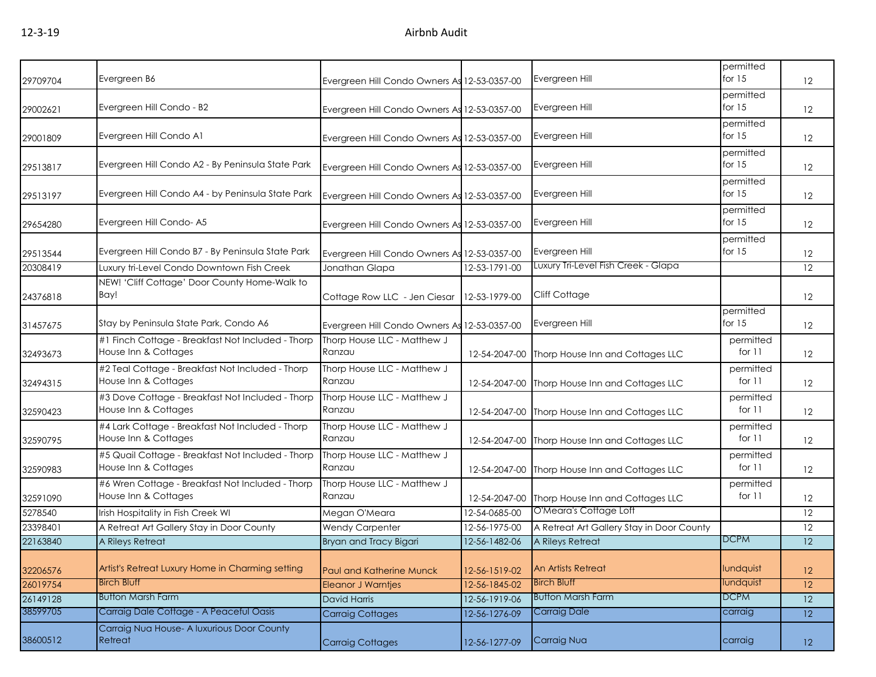| 29709704 | Evergreen B6                                                              | Evergreen Hill Condo Owners As 12-53-0357-00 |               | Evergreen Hill                                 | permitted<br>for $15$ | $12 \overline{ }$ |
|----------|---------------------------------------------------------------------------|----------------------------------------------|---------------|------------------------------------------------|-----------------------|-------------------|
| 29002621 | Evergreen Hill Condo - B2                                                 | Evergreen Hill Condo Owners As 12-53-0357-00 |               | Evergreen Hill                                 | permitted<br>for 15   | $12 \overline{ }$ |
| 29001809 | Evergreen Hill Condo A1                                                   | Evergreen Hill Condo Owners As 12-53-0357-00 |               | Evergreen Hill                                 | permitted<br>for $15$ | 12                |
| 29513817 | Evergreen Hill Condo A2 - By Peninsula State Park                         | Evergreen Hill Condo Owners As 12-53-0357-00 |               | Evergreen Hill                                 | permitted<br>for $15$ | 12                |
| 29513197 | Evergreen Hill Condo A4 - by Peninsula State Park                         | Evergreen Hill Condo Owners As 12-53-0357-00 |               | Evergreen Hill                                 | permitted<br>for $15$ | 12                |
| 29654280 | Evergreen Hill Condo-A5                                                   | Evergreen Hill Condo Owners As 12-53-0357-00 |               | Evergreen Hill                                 | permitted<br>for $15$ | $12 \overline{ }$ |
| 29513544 | Evergreen Hill Condo B7 - By Peninsula State Park                         | Evergreen Hill Condo Owners As 12-53-0357-00 |               | Evergreen Hill                                 | permitted<br>for $15$ | 12                |
| 20308419 | Luxury tri-Level Condo Downtown Fish Creek                                | Jonathan Glapa                               | 12-53-1791-00 | Luxury Tri-Level Fish Creek - Glapa            |                       | 12                |
| 24376818 | NEW! 'Cliff Cottage' Door County Home-Walk to<br>Bay!                     | Cottage Row LLC - Jen Ciesar                 | 12-53-1979-00 | <b>Cliff Cottage</b>                           |                       | $12 \overline{ }$ |
| 31457675 | Stay by Peninsula State Park, Condo A6                                    | Evergreen Hill Condo Owners As               | 12-53-0357-00 | Evergreen Hill                                 | permitted<br>for $15$ | 12                |
| 32493673 | #1 Finch Cottage - Breakfast Not Included - Thorp<br>House Inn & Cottages | Thorp House LLC - Matthew J<br>Ranzau        | 12-54-2047-00 | Thorp House Inn and Cottages LLC               | permitted<br>for 11   | $12 \overline{ }$ |
| 32494315 | #2 Teal Cottage - Breakfast Not Included - Thorp<br>House Inn & Cottages  | Thorp House LLC - Matthew J<br>Ranzau        |               | 12-54-2047-00 Thorp House Inn and Cottages LLC | permitted<br>for 11   | $12 \overline{ }$ |
| 32590423 | #3 Dove Cottage - Breakfast Not Included - Thorp<br>House Inn & Cottages  | Thorp House LLC - Matthew J<br>Ranzau        |               | 12-54-2047-00 Thorp House Inn and Cottages LLC | permitted<br>for $11$ | 12                |
| 32590795 | #4 Lark Cottage - Breakfast Not Included - Thorp<br>House Inn & Cottages  | Thorp House LLC - Matthew J<br>Ranzau        | 12-54-2047-00 | Thorp House Inn and Cottages LLC               | permitted<br>for 11   | $12 \overline{ }$ |
| 32590983 | #5 Quail Cottage - Breakfast Not Included - Thorp<br>House Inn & Cottages | Thorp House LLC - Matthew J<br>Ranzau        | 12-54-2047-00 | Thorp House Inn and Cottages LLC               | permitted<br>for 11   | 12                |
| 32591090 | #6 Wren Cottage - Breakfast Not Included - Thorp<br>House Inn & Cottages  | Thorp House LLC - Matthew J<br>Ranzau        | 12-54-2047-00 | Thorp House Inn and Cottages LLC               | permitted<br>for 11   | 12                |
| 5278540  | Irish Hospitality in Fish Creek WI                                        | Megan O'Meara                                | 12-54-0685-00 | O'Meara's Cottage Loft                         |                       | 12                |
| 23398401 | A Retreat Art Gallery Stay in Door County                                 | <b>Wendy Carpenter</b>                       | 12-56-1975-00 | A Retreat Art Gallery Stay in Door County      |                       | 12                |
| 22163840 | A Rileys Retreat                                                          | Bryan and Tracy Bigari                       | 12-56-1482-06 | A Rileys Retreat                               | <b>DCPM</b>           | 12                |
| 32206576 | Artist's Retreat Luxury Home in Charming setting                          | Paul and Katherine Munck                     | 12-56-1519-02 | <b>An Artists Retreat</b>                      | lundquist             | 12                |
| 26019754 | <b>Birch Bluff</b>                                                        | <b>Eleanor J Warntjes</b>                    | 12-56-1845-02 | <b>Birch Bluff</b>                             | lundquist             | 12                |
| 26149128 | <b>Button Marsh Farm</b>                                                  | <b>David Harris</b>                          | 12-56-1919-06 | <b>Button Marsh Farm</b>                       | <b>DCPM</b>           | 12                |
| 38599705 | Carraig Dale Cottage - A Peaceful Oasis                                   | <b>Carraig Cottages</b>                      | 12-56-1276-09 | <b>Carraig Dale</b>                            | carraig               | 12                |
| 38600512 | Carraig Nua House- A luxurious Door County<br>Retreat                     | <b>Carraig Cottages</b>                      | 12-56-1277-09 | Carraig Nua                                    | carraig               | 12                |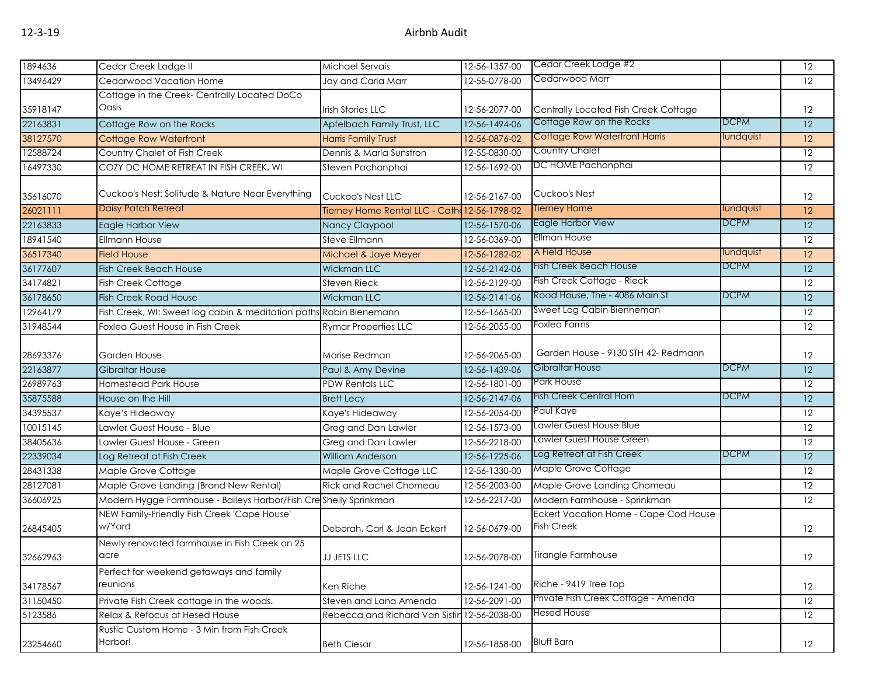| 1894636  | Cedar Creek Lodge II                                               | Michael Servais                              | 12-56-1357-00 | Cedar Creek Lodge #2                                       |             | 12              |
|----------|--------------------------------------------------------------------|----------------------------------------------|---------------|------------------------------------------------------------|-------------|-----------------|
| 13496429 | Cedarwood Vacation Home                                            | Jay and Carla Marr                           | 12-55-0778-00 | Cedarwood Marr                                             |             | 12              |
|          | Cottage in the Creek- Centrally Located DoCo                       |                                              |               |                                                            |             |                 |
| 35918147 | Oasis                                                              | <b>Irish Stories LLC</b>                     | 12-56-2077-00 | Centrally Located Fish Creek Cottage                       |             | 12              |
| 22163831 | Cottage Row on the Rocks                                           | Apfelbach Family Trust, LLC                  | 12-56-1494-06 | Cottage Row on the Rocks                                   | <b>DCPM</b> | 12              |
| 38127570 | Cottage Row Waterfront                                             | Harris Family Trust                          | 12-56-0876-02 | <b>Cottage Row Waterfront Harris</b>                       | lundquist   | 12              |
| 12588724 | Country Chalet of Fish Creek                                       | Dennis & Marla Sunstron                      | 12-55-0830-00 | Country Chalet                                             |             | 12              |
| 16497330 | COZY DC HOME RETREAT IN FISH CREEK, WI                             | Steven Pachonphai                            | 12-56-1692-00 | DC HOME Pachonphai                                         |             | 12              |
| 35616070 | Cuckoo's Nest: Solitude & Nature Near Everything                   | Cuckoo's Nest LLC                            | 12-56-2167-00 | Cuckoo's Nest                                              |             | 12              |
| 26021111 | <b>Daisy Patch Retreat</b>                                         | Tierney Home Rental LLC - Cath 12-56-1798-02 |               | <b>Tierney Home</b>                                        | lundquist   | 12              |
| 22163833 | Eagle Harbor View                                                  | Nancy Claypool                               | 12-56-1570-06 | Eagle Harbor View                                          | <b>DCPM</b> | 12              |
| 18941540 | <b>Ellmann House</b>                                               | Steve Ellmann                                | 12-56-0369-00 | <b>Ellman House</b>                                        |             | $\overline{12}$ |
| 36517340 | <b>Field House</b>                                                 | Michael & Jaye Meyer                         | 12-56-1282-02 | A Field House                                              | lundquist   | 12              |
| 36177607 | <b>Fish Creek Beach House</b>                                      | <b>Wickman LLC</b>                           | 12-56-2142-06 | <b>Fish Creek Beach House</b>                              | <b>DCPM</b> | 12              |
| 34174821 | <b>Fish Creek Cottage</b>                                          | <b>Steven Rieck</b>                          | 12-56-2129-00 | Fish Creek Cottage - Rieck                                 |             | 12              |
| 36178650 | <b>Fish Creek Road House</b>                                       | <b>Wickman LLC</b>                           | 12-56-2141-06 | Road House, The - 4086 Main St                             | <b>DCPM</b> | 12              |
| 12964179 | Fish Creek, WI: Sweet log cabin & meditation paths Robin Bienemann |                                              | 12-56-1665-00 | Sweet Log Cabin Bienneman                                  |             | 12              |
| 31948544 | Foxlea Guest House in Fish Creek                                   | <b>Rymar Properties LLC</b>                  | 12-56-2055-00 | Foxlea Farms                                               |             | 12              |
| 28693376 | <b>Garden House</b>                                                | Marise Redman                                | 12-56-2065-00 | Garden House - 9130 STH 42- Redmann                        |             | 12              |
| 22163877 | <b>Gibraltar House</b>                                             | Paul & Amy Devine                            | 12-56-1439-06 | Gibraltar House                                            | <b>DCPM</b> | 12              |
| 26989763 | <b>Homestead Park House</b>                                        | <b>PDW Rentals LLC</b>                       | 12-56-1801-00 | Park House                                                 |             | 12              |
| 35875588 | House on the Hill                                                  | <b>Brett Lecy</b>                            | 12-56-2147-06 | <b>Fish Creek Central Hom</b>                              | <b>DCPM</b> | 12              |
| 34395537 | Kaye's Hideaway                                                    | Kaye's Hideaway                              | 12-56-2054-00 | Paul Kaye                                                  |             | 12              |
| 10015145 | Lawler Guest House - Blue                                          | Greg and Dan Lawler                          | 12-56-1573-00 | Lawler Guest House Blue                                    |             | 12              |
| 38405636 | Lawler Guest House - Green                                         | Greg and Dan Lawler                          | 12-56-2218-00 | Lawler Guest House Green                                   |             | 12              |
| 22339034 | Log Retreat at Fish Creek                                          | <b>William Anderson</b>                      | 12-56-1225-06 | Log Retreat at Fish Creek                                  | <b>DCPM</b> | $\overline{12}$ |
| 28431338 | Maple Grove Cottage                                                | Maple Grove Cottage LLC                      | 12-56-1330-00 | Maple Grove Cottage                                        |             | 12              |
| 28127081 | Maple Grove Landing (Brand New Rental)                             | Rick and Rachel Chomeau                      | 12-56-2003-00 | Maple Grove Landing Chomeau                                |             | $\overline{12}$ |
| 36606925 | Modern Hygge Farmhouse - Baileys Harbor/Fish Creshelly Sprinkman   |                                              | 12-56-2217-00 | Modern Farmhouse - Sprinkman                               |             | 12              |
| 26845405 | NEW Family-Friendly Fish Creek 'Cape House'<br>w/Yard              | Deborah, Carl & Joan Eckert                  | 12-56-0679-00 | Eckert Vacation Home - Cape Cod House<br><b>Fish Creek</b> |             | 12              |
| 32662963 | Newly renovated farmhouse in Fish Creek on 25<br>acre              | <b>JJ JETS LLC</b>                           | 12-56-2078-00 | Tirangle Farmhouse                                         |             | 12              |
| 34178567 | Perfect for weekend getaways and family<br>reunions                | Ken Riche                                    | 12-56-1241-00 | Riche - 9419 Tree Top                                      |             | 12              |
| 31150450 | Private Fish Creek cottage in the woods.                           | Steven and Lana Amenda                       | 12-56-2091-00 | Private Fish Creek Cottage - Amenda                        |             | 12              |
| 5123586  | Relax & Refocus at Hesed House                                     | Rebecca and Richard Van Sistin 12-56-2038-00 |               | <b>Hesed House</b>                                         |             | 12              |
| 23254660 | Rustic Custom Home - 3 Min from Fish Creek<br>Harbor!              | <b>Beth Ciesar</b>                           | 12-56-1858-00 | <b>Bluff Barn</b>                                          |             | 12              |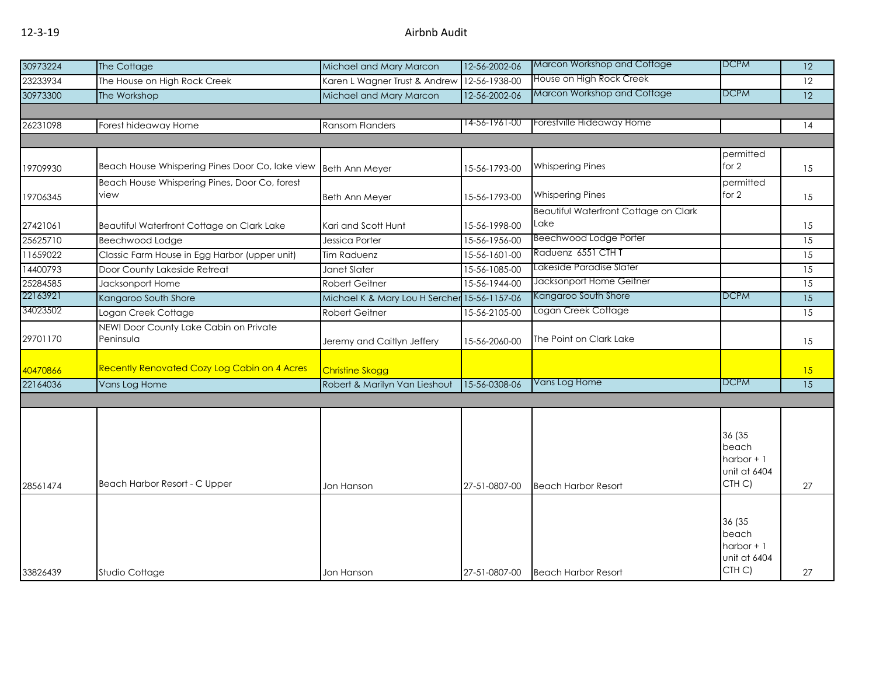| 30973224 | The Cottage                                           | Michael and Mary Marcon                      | 12-56-2002-06 | Marcon Workshop and Cottage                   | <b>DCPM</b>                                              | 12              |
|----------|-------------------------------------------------------|----------------------------------------------|---------------|-----------------------------------------------|----------------------------------------------------------|-----------------|
| 23233934 | The House on High Rock Creek                          | Karen L Wagner Trust & Andrew                | 12-56-1938-00 | House on High Rock Creek                      |                                                          | 12              |
| 30973300 | The Workshop                                          | Michael and Mary Marcon                      | 12-56-2002-06 | Marcon Workshop and Cottage                   | <b>DCPM</b>                                              | 12              |
|          |                                                       |                                              |               |                                               |                                                          |                 |
| 26231098 | Forest hideaway Home                                  | <b>Ransom Flanders</b>                       | 14-56-1961-00 | Forestville Hideaway Home                     |                                                          | 14              |
|          |                                                       |                                              |               |                                               |                                                          |                 |
| 19709930 | Beach House Whispering Pines Door Co, lake view       | <b>Beth Ann Meyer</b>                        | 15-56-1793-00 | <b>Whispering Pines</b>                       | permitted<br>for $2$                                     | 15              |
| 19706345 | Beach House Whispering Pines, Door Co, forest<br>view | <b>Beth Ann Meyer</b>                        | 15-56-1793-00 | <b>Whispering Pines</b>                       | permitted<br>for 2                                       | 15              |
| 27421061 | Beautiful Waterfront Cottage on Clark Lake            | Kari and Scott Hunt                          | 15-56-1998-00 | Beautiful Waterfront Cottage on Clark<br>Lake |                                                          | 15              |
| 25625710 | Beechwood Lodge                                       | Jessica Porter                               | 15-56-1956-00 | <b>Beechwood Lodge Porter</b>                 |                                                          | 15              |
| 11659022 | Classic Farm House in Egg Harbor (upper unit)         | Tim Raduenz                                  | 15-56-1601-00 | Raduenz 6551 CTHT                             |                                                          | 15              |
| 14400793 | Door County Lakeside Retreat                          | Janet Slater                                 | 15-56-1085-00 | Lakeside Paradise Slater                      |                                                          | 15              |
| 25284585 | Jacksonport Home                                      | <b>Robert Geitner</b>                        | 15-56-1944-00 | Jacksonport Home Geitner                      |                                                          | $\overline{15}$ |
| 22163921 | Kangaroo South Shore                                  | Michael K & Mary Lou H Sercher 15-56-1157-06 |               | Kangaroo South Shore                          | <b>DCPM</b>                                              | $\overline{15}$ |
| 34023502 | Logan Creek Cottage                                   | <b>Robert Geitner</b>                        | 15-56-2105-00 | Logan Creek Cottage                           |                                                          | 15              |
| 29701170 | NEW! Door County Lake Cabin on Private<br>Peninsula   | Jeremy and Caitlyn Jeffery                   | 15-56-2060-00 | The Point on Clark Lake                       |                                                          | 15              |
| 40470866 | <b>Recently Renovated Cozy Log Cabin on 4 Acres</b>   | <b>Christine Skogg</b>                       |               |                                               |                                                          | 15              |
| 22164036 | Vans Log Home                                         | Robert & Marilyn Van Lieshout                | 15-56-0308-06 | Vans Log Home                                 | DCPM                                                     | 15              |
|          |                                                       |                                              |               |                                               |                                                          |                 |
| 28561474 | Beach Harbor Resort - C Upper                         | Jon Hanson                                   | 27-51-0807-00 | <b>Beach Harbor Resort</b>                    | 36 (35<br>beach<br>harbor $+1$<br>unit at 6404<br>CTH C) | 27              |
|          |                                                       |                                              |               |                                               | 36 (35<br>beach                                          |                 |
| 33826439 | Studio Cottage                                        | Jon Hanson                                   | 27-51-0807-00 | <b>Beach Harbor Resort</b>                    | harbor $+1$<br>unit at 6404<br>CTH C)                    | 27              |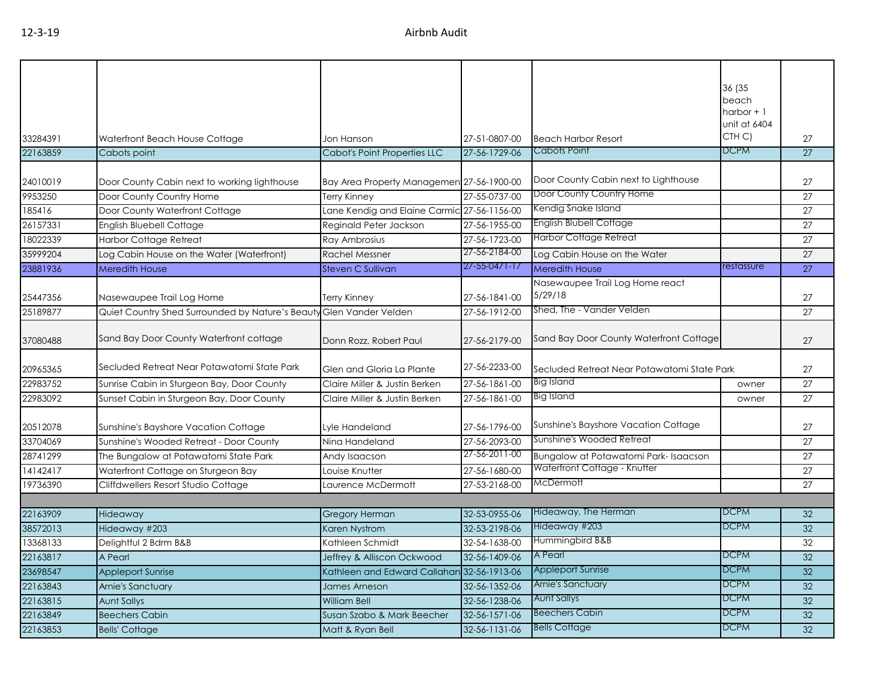| 36 (35<br>beach<br>harbor $+1$<br>unit at 6404<br>CTH C)<br>33284391<br>Waterfront Beach House Cottage<br>27-51-0807-00<br><b>Beach Harbor Resort</b><br>27<br>Jon Hanson<br>Cabots Point<br><b>DCPM</b><br>22163859<br>Cabot's Point Properties LLC<br>27-56-1729-06<br>27<br>Cabots point<br>Door County Cabin next to Lighthouse<br>24010019<br>Door County Cabin next to working lighthouse<br>Bay Area Property Managemen 27-56-1900-00<br>Door County Country Home<br>9953250<br>27-55-0737-00<br>Door County Country Home<br>Terry Kinney<br>Kendig Snake Island<br>Lane Kendig and Elaine Carmic 27-56-1156-00<br>185416<br>Door County Waterfront Cottage<br>English Blubell Cottage<br>26157331<br>English Bluebell Cottage<br>Reginald Peter Jackson<br>27-56-1955-00<br><b>Harbor Cottage Retreat</b><br>18022339<br><b>Harbor Cottage Retreat</b><br>27-56-1723-00<br>Ray Ambrosius<br>27-56-2184-00<br>35999204<br>Log Cabin House on the Water (Waterfront)<br>Log Cabin House on the Water<br><b>Rachel Messner</b><br>$27 - 55 - 0471 - 17$<br>restassure<br>23881936<br><b>Steven C Sullivan</b><br>Meredith House<br><b>Meredith House</b><br>Nasewaupee Trail Log Home react<br>5/29/18<br>25447356<br>Nasewaupee Trail Log Home<br>27-56-1841-00<br>Terry Kinney<br>Shed, The - Vander Velden<br>25189877<br>Quiet Country Shed Surrounded by Nature's Beaut<br>Glen Vander Velden<br>27-56-1912-00<br>Sand Bay Door County Waterfront cottage<br>Sand Bay Door County Waterfront Cottage<br>37080488<br>Donn Rozz, Robert Paul<br>27-56-2179-00<br>Secluded Retreat Near Potawatomi State Park<br>27-56-2233-00<br>20965365<br>Glen and Gloria La Plante<br>Secluded Retreat Near Potawatomi State Park<br>Big Island<br>22983752<br>27-56-1861-00<br>Sunrise Cabin in Sturgeon Bay, Door County<br>Claire Miller & Justin Berken<br>owner<br><b>Big Island</b><br>22983092<br>Sunset Cabin in Sturgeon Bay, Door County<br>27-56-1861-00<br>Claire Miller & Justin Berken<br>owner<br>Sunshine's Bayshore Vacation Cottage<br>20512078<br>Sunshine's Bayshore Vacation Cottage<br>27-56-1796-00<br>Lyle Handeland<br>Sunshine's Wooded Retreat<br>33704069<br>Sunshine's Wooded Retreat - Door County<br>27-56-2093-00<br>Nina Handeland<br>27-56-2011-00<br>28741299<br>The Bungalow at Potawatomi State Park<br>Bungalow at Potawatomi Park-Isaacson<br>Andy Isaacson<br>Waterfront Cottage - Knutter<br>14142417<br>Waterfront Cottage on Sturgeon Bay<br>27-56-1680-00<br>Louise Knutter<br>McDermott<br>19736390<br>Cliffdwellers Resort Studio Cottage<br>Laurence McDermott<br>27-53-2168-00<br>Hideaway, The Herman<br><b>DCPM</b><br>22163909<br><b>Gregory Herman</b><br>32-53-0955-06<br>Hideaway<br>Hideaway #203<br><b>DCPM</b><br>38572013<br>32-53-2198-06<br>Hideaway #203<br>Karen Nystrom<br>Hummingbird B&B<br>Kathleen Schmidt<br>13368133<br>Delightful 2 Bdrm B&B<br>32-54-1638-00<br>22163817<br>32-56-1409-06<br><b>A</b> Pearl<br><b>DCPM</b><br>A Pearl<br>Jeffrey & Alliscon Ockwood<br><b>DCPM</b><br>23698547<br><b>Appleport Sunrise</b><br>Kathleen and Edward Callahan 32-56-1913-06<br><b>Appleport Sunrise</b><br>Arnie's Sanctuary<br><b>DCPM</b><br>22163843<br>32-56-1352-06<br>Arnie's Sanctuary<br>James Arneson<br><b>Aunt Sallys</b><br><b>DCPM</b><br>22163815<br><b>Aunt Sallys</b><br>32-56-1238-06<br>William Bell<br><b>Beechers Cabin</b><br><b>DCPM</b><br>22163849<br><b>Beechers Cabin</b><br>32-56-1571-06<br>Susan Szabo & Mark Beecher<br><b>Bells Cottage</b><br><b>DCPM</b><br>22163853<br>32-56-1131-06<br>Matt & Ryan Bell |                       |  |  |                 |
|------------------------------------------------------------------------------------------------------------------------------------------------------------------------------------------------------------------------------------------------------------------------------------------------------------------------------------------------------------------------------------------------------------------------------------------------------------------------------------------------------------------------------------------------------------------------------------------------------------------------------------------------------------------------------------------------------------------------------------------------------------------------------------------------------------------------------------------------------------------------------------------------------------------------------------------------------------------------------------------------------------------------------------------------------------------------------------------------------------------------------------------------------------------------------------------------------------------------------------------------------------------------------------------------------------------------------------------------------------------------------------------------------------------------------------------------------------------------------------------------------------------------------------------------------------------------------------------------------------------------------------------------------------------------------------------------------------------------------------------------------------------------------------------------------------------------------------------------------------------------------------------------------------------------------------------------------------------------------------------------------------------------------------------------------------------------------------------------------------------------------------------------------------------------------------------------------------------------------------------------------------------------------------------------------------------------------------------------------------------------------------------------------------------------------------------------------------------------------------------------------------------------------------------------------------------------------------------------------------------------------------------------------------------------------------------------------------------------------------------------------------------------------------------------------------------------------------------------------------------------------------------------------------------------------------------------------------------------------------------------------------------------------------------------------------------------------------------------------------------------------------------------------------------------------------------------------------------------------------------------------------------------------------------------------------------------------------------------------------------------------------------------------------------------------------------------------------------------------------------------------------------------------------------------------------------------------------------------------------|-----------------------|--|--|-----------------|
|                                                                                                                                                                                                                                                                                                                                                                                                                                                                                                                                                                                                                                                                                                                                                                                                                                                                                                                                                                                                                                                                                                                                                                                                                                                                                                                                                                                                                                                                                                                                                                                                                                                                                                                                                                                                                                                                                                                                                                                                                                                                                                                                                                                                                                                                                                                                                                                                                                                                                                                                                                                                                                                                                                                                                                                                                                                                                                                                                                                                                                                                                                                                                                                                                                                                                                                                                                                                                                                                                                                                                                                                            |                       |  |  |                 |
|                                                                                                                                                                                                                                                                                                                                                                                                                                                                                                                                                                                                                                                                                                                                                                                                                                                                                                                                                                                                                                                                                                                                                                                                                                                                                                                                                                                                                                                                                                                                                                                                                                                                                                                                                                                                                                                                                                                                                                                                                                                                                                                                                                                                                                                                                                                                                                                                                                                                                                                                                                                                                                                                                                                                                                                                                                                                                                                                                                                                                                                                                                                                                                                                                                                                                                                                                                                                                                                                                                                                                                                                            |                       |  |  |                 |
|                                                                                                                                                                                                                                                                                                                                                                                                                                                                                                                                                                                                                                                                                                                                                                                                                                                                                                                                                                                                                                                                                                                                                                                                                                                                                                                                                                                                                                                                                                                                                                                                                                                                                                                                                                                                                                                                                                                                                                                                                                                                                                                                                                                                                                                                                                                                                                                                                                                                                                                                                                                                                                                                                                                                                                                                                                                                                                                                                                                                                                                                                                                                                                                                                                                                                                                                                                                                                                                                                                                                                                                                            |                       |  |  |                 |
|                                                                                                                                                                                                                                                                                                                                                                                                                                                                                                                                                                                                                                                                                                                                                                                                                                                                                                                                                                                                                                                                                                                                                                                                                                                                                                                                                                                                                                                                                                                                                                                                                                                                                                                                                                                                                                                                                                                                                                                                                                                                                                                                                                                                                                                                                                                                                                                                                                                                                                                                                                                                                                                                                                                                                                                                                                                                                                                                                                                                                                                                                                                                                                                                                                                                                                                                                                                                                                                                                                                                                                                                            |                       |  |  | 27              |
|                                                                                                                                                                                                                                                                                                                                                                                                                                                                                                                                                                                                                                                                                                                                                                                                                                                                                                                                                                                                                                                                                                                                                                                                                                                                                                                                                                                                                                                                                                                                                                                                                                                                                                                                                                                                                                                                                                                                                                                                                                                                                                                                                                                                                                                                                                                                                                                                                                                                                                                                                                                                                                                                                                                                                                                                                                                                                                                                                                                                                                                                                                                                                                                                                                                                                                                                                                                                                                                                                                                                                                                                            |                       |  |  | 27              |
|                                                                                                                                                                                                                                                                                                                                                                                                                                                                                                                                                                                                                                                                                                                                                                                                                                                                                                                                                                                                                                                                                                                                                                                                                                                                                                                                                                                                                                                                                                                                                                                                                                                                                                                                                                                                                                                                                                                                                                                                                                                                                                                                                                                                                                                                                                                                                                                                                                                                                                                                                                                                                                                                                                                                                                                                                                                                                                                                                                                                                                                                                                                                                                                                                                                                                                                                                                                                                                                                                                                                                                                                            |                       |  |  | 27              |
|                                                                                                                                                                                                                                                                                                                                                                                                                                                                                                                                                                                                                                                                                                                                                                                                                                                                                                                                                                                                                                                                                                                                                                                                                                                                                                                                                                                                                                                                                                                                                                                                                                                                                                                                                                                                                                                                                                                                                                                                                                                                                                                                                                                                                                                                                                                                                                                                                                                                                                                                                                                                                                                                                                                                                                                                                                                                                                                                                                                                                                                                                                                                                                                                                                                                                                                                                                                                                                                                                                                                                                                                            |                       |  |  | 27              |
|                                                                                                                                                                                                                                                                                                                                                                                                                                                                                                                                                                                                                                                                                                                                                                                                                                                                                                                                                                                                                                                                                                                                                                                                                                                                                                                                                                                                                                                                                                                                                                                                                                                                                                                                                                                                                                                                                                                                                                                                                                                                                                                                                                                                                                                                                                                                                                                                                                                                                                                                                                                                                                                                                                                                                                                                                                                                                                                                                                                                                                                                                                                                                                                                                                                                                                                                                                                                                                                                                                                                                                                                            |                       |  |  | 27              |
|                                                                                                                                                                                                                                                                                                                                                                                                                                                                                                                                                                                                                                                                                                                                                                                                                                                                                                                                                                                                                                                                                                                                                                                                                                                                                                                                                                                                                                                                                                                                                                                                                                                                                                                                                                                                                                                                                                                                                                                                                                                                                                                                                                                                                                                                                                                                                                                                                                                                                                                                                                                                                                                                                                                                                                                                                                                                                                                                                                                                                                                                                                                                                                                                                                                                                                                                                                                                                                                                                                                                                                                                            |                       |  |  | 27              |
|                                                                                                                                                                                                                                                                                                                                                                                                                                                                                                                                                                                                                                                                                                                                                                                                                                                                                                                                                                                                                                                                                                                                                                                                                                                                                                                                                                                                                                                                                                                                                                                                                                                                                                                                                                                                                                                                                                                                                                                                                                                                                                                                                                                                                                                                                                                                                                                                                                                                                                                                                                                                                                                                                                                                                                                                                                                                                                                                                                                                                                                                                                                                                                                                                                                                                                                                                                                                                                                                                                                                                                                                            |                       |  |  | 27              |
|                                                                                                                                                                                                                                                                                                                                                                                                                                                                                                                                                                                                                                                                                                                                                                                                                                                                                                                                                                                                                                                                                                                                                                                                                                                                                                                                                                                                                                                                                                                                                                                                                                                                                                                                                                                                                                                                                                                                                                                                                                                                                                                                                                                                                                                                                                                                                                                                                                                                                                                                                                                                                                                                                                                                                                                                                                                                                                                                                                                                                                                                                                                                                                                                                                                                                                                                                                                                                                                                                                                                                                                                            |                       |  |  | 27              |
|                                                                                                                                                                                                                                                                                                                                                                                                                                                                                                                                                                                                                                                                                                                                                                                                                                                                                                                                                                                                                                                                                                                                                                                                                                                                                                                                                                                                                                                                                                                                                                                                                                                                                                                                                                                                                                                                                                                                                                                                                                                                                                                                                                                                                                                                                                                                                                                                                                                                                                                                                                                                                                                                                                                                                                                                                                                                                                                                                                                                                                                                                                                                                                                                                                                                                                                                                                                                                                                                                                                                                                                                            |                       |  |  | 27              |
|                                                                                                                                                                                                                                                                                                                                                                                                                                                                                                                                                                                                                                                                                                                                                                                                                                                                                                                                                                                                                                                                                                                                                                                                                                                                                                                                                                                                                                                                                                                                                                                                                                                                                                                                                                                                                                                                                                                                                                                                                                                                                                                                                                                                                                                                                                                                                                                                                                                                                                                                                                                                                                                                                                                                                                                                                                                                                                                                                                                                                                                                                                                                                                                                                                                                                                                                                                                                                                                                                                                                                                                                            |                       |  |  | 27              |
|                                                                                                                                                                                                                                                                                                                                                                                                                                                                                                                                                                                                                                                                                                                                                                                                                                                                                                                                                                                                                                                                                                                                                                                                                                                                                                                                                                                                                                                                                                                                                                                                                                                                                                                                                                                                                                                                                                                                                                                                                                                                                                                                                                                                                                                                                                                                                                                                                                                                                                                                                                                                                                                                                                                                                                                                                                                                                                                                                                                                                                                                                                                                                                                                                                                                                                                                                                                                                                                                                                                                                                                                            |                       |  |  | 27              |
|                                                                                                                                                                                                                                                                                                                                                                                                                                                                                                                                                                                                                                                                                                                                                                                                                                                                                                                                                                                                                                                                                                                                                                                                                                                                                                                                                                                                                                                                                                                                                                                                                                                                                                                                                                                                                                                                                                                                                                                                                                                                                                                                                                                                                                                                                                                                                                                                                                                                                                                                                                                                                                                                                                                                                                                                                                                                                                                                                                                                                                                                                                                                                                                                                                                                                                                                                                                                                                                                                                                                                                                                            |                       |  |  | 27              |
|                                                                                                                                                                                                                                                                                                                                                                                                                                                                                                                                                                                                                                                                                                                                                                                                                                                                                                                                                                                                                                                                                                                                                                                                                                                                                                                                                                                                                                                                                                                                                                                                                                                                                                                                                                                                                                                                                                                                                                                                                                                                                                                                                                                                                                                                                                                                                                                                                                                                                                                                                                                                                                                                                                                                                                                                                                                                                                                                                                                                                                                                                                                                                                                                                                                                                                                                                                                                                                                                                                                                                                                                            |                       |  |  | 27              |
|                                                                                                                                                                                                                                                                                                                                                                                                                                                                                                                                                                                                                                                                                                                                                                                                                                                                                                                                                                                                                                                                                                                                                                                                                                                                                                                                                                                                                                                                                                                                                                                                                                                                                                                                                                                                                                                                                                                                                                                                                                                                                                                                                                                                                                                                                                                                                                                                                                                                                                                                                                                                                                                                                                                                                                                                                                                                                                                                                                                                                                                                                                                                                                                                                                                                                                                                                                                                                                                                                                                                                                                                            |                       |  |  | 27              |
|                                                                                                                                                                                                                                                                                                                                                                                                                                                                                                                                                                                                                                                                                                                                                                                                                                                                                                                                                                                                                                                                                                                                                                                                                                                                                                                                                                                                                                                                                                                                                                                                                                                                                                                                                                                                                                                                                                                                                                                                                                                                                                                                                                                                                                                                                                                                                                                                                                                                                                                                                                                                                                                                                                                                                                                                                                                                                                                                                                                                                                                                                                                                                                                                                                                                                                                                                                                                                                                                                                                                                                                                            |                       |  |  | 27              |
|                                                                                                                                                                                                                                                                                                                                                                                                                                                                                                                                                                                                                                                                                                                                                                                                                                                                                                                                                                                                                                                                                                                                                                                                                                                                                                                                                                                                                                                                                                                                                                                                                                                                                                                                                                                                                                                                                                                                                                                                                                                                                                                                                                                                                                                                                                                                                                                                                                                                                                                                                                                                                                                                                                                                                                                                                                                                                                                                                                                                                                                                                                                                                                                                                                                                                                                                                                                                                                                                                                                                                                                                            |                       |  |  | 27              |
|                                                                                                                                                                                                                                                                                                                                                                                                                                                                                                                                                                                                                                                                                                                                                                                                                                                                                                                                                                                                                                                                                                                                                                                                                                                                                                                                                                                                                                                                                                                                                                                                                                                                                                                                                                                                                                                                                                                                                                                                                                                                                                                                                                                                                                                                                                                                                                                                                                                                                                                                                                                                                                                                                                                                                                                                                                                                                                                                                                                                                                                                                                                                                                                                                                                                                                                                                                                                                                                                                                                                                                                                            |                       |  |  | $\overline{27}$ |
|                                                                                                                                                                                                                                                                                                                                                                                                                                                                                                                                                                                                                                                                                                                                                                                                                                                                                                                                                                                                                                                                                                                                                                                                                                                                                                                                                                                                                                                                                                                                                                                                                                                                                                                                                                                                                                                                                                                                                                                                                                                                                                                                                                                                                                                                                                                                                                                                                                                                                                                                                                                                                                                                                                                                                                                                                                                                                                                                                                                                                                                                                                                                                                                                                                                                                                                                                                                                                                                                                                                                                                                                            |                       |  |  | 27              |
|                                                                                                                                                                                                                                                                                                                                                                                                                                                                                                                                                                                                                                                                                                                                                                                                                                                                                                                                                                                                                                                                                                                                                                                                                                                                                                                                                                                                                                                                                                                                                                                                                                                                                                                                                                                                                                                                                                                                                                                                                                                                                                                                                                                                                                                                                                                                                                                                                                                                                                                                                                                                                                                                                                                                                                                                                                                                                                                                                                                                                                                                                                                                                                                                                                                                                                                                                                                                                                                                                                                                                                                                            |                       |  |  |                 |
|                                                                                                                                                                                                                                                                                                                                                                                                                                                                                                                                                                                                                                                                                                                                                                                                                                                                                                                                                                                                                                                                                                                                                                                                                                                                                                                                                                                                                                                                                                                                                                                                                                                                                                                                                                                                                                                                                                                                                                                                                                                                                                                                                                                                                                                                                                                                                                                                                                                                                                                                                                                                                                                                                                                                                                                                                                                                                                                                                                                                                                                                                                                                                                                                                                                                                                                                                                                                                                                                                                                                                                                                            |                       |  |  | 32              |
|                                                                                                                                                                                                                                                                                                                                                                                                                                                                                                                                                                                                                                                                                                                                                                                                                                                                                                                                                                                                                                                                                                                                                                                                                                                                                                                                                                                                                                                                                                                                                                                                                                                                                                                                                                                                                                                                                                                                                                                                                                                                                                                                                                                                                                                                                                                                                                                                                                                                                                                                                                                                                                                                                                                                                                                                                                                                                                                                                                                                                                                                                                                                                                                                                                                                                                                                                                                                                                                                                                                                                                                                            |                       |  |  | 32              |
|                                                                                                                                                                                                                                                                                                                                                                                                                                                                                                                                                                                                                                                                                                                                                                                                                                                                                                                                                                                                                                                                                                                                                                                                                                                                                                                                                                                                                                                                                                                                                                                                                                                                                                                                                                                                                                                                                                                                                                                                                                                                                                                                                                                                                                                                                                                                                                                                                                                                                                                                                                                                                                                                                                                                                                                                                                                                                                                                                                                                                                                                                                                                                                                                                                                                                                                                                                                                                                                                                                                                                                                                            |                       |  |  | 32              |
|                                                                                                                                                                                                                                                                                                                                                                                                                                                                                                                                                                                                                                                                                                                                                                                                                                                                                                                                                                                                                                                                                                                                                                                                                                                                                                                                                                                                                                                                                                                                                                                                                                                                                                                                                                                                                                                                                                                                                                                                                                                                                                                                                                                                                                                                                                                                                                                                                                                                                                                                                                                                                                                                                                                                                                                                                                                                                                                                                                                                                                                                                                                                                                                                                                                                                                                                                                                                                                                                                                                                                                                                            |                       |  |  | 32              |
|                                                                                                                                                                                                                                                                                                                                                                                                                                                                                                                                                                                                                                                                                                                                                                                                                                                                                                                                                                                                                                                                                                                                                                                                                                                                                                                                                                                                                                                                                                                                                                                                                                                                                                                                                                                                                                                                                                                                                                                                                                                                                                                                                                                                                                                                                                                                                                                                                                                                                                                                                                                                                                                                                                                                                                                                                                                                                                                                                                                                                                                                                                                                                                                                                                                                                                                                                                                                                                                                                                                                                                                                            |                       |  |  | 32              |
|                                                                                                                                                                                                                                                                                                                                                                                                                                                                                                                                                                                                                                                                                                                                                                                                                                                                                                                                                                                                                                                                                                                                                                                                                                                                                                                                                                                                                                                                                                                                                                                                                                                                                                                                                                                                                                                                                                                                                                                                                                                                                                                                                                                                                                                                                                                                                                                                                                                                                                                                                                                                                                                                                                                                                                                                                                                                                                                                                                                                                                                                                                                                                                                                                                                                                                                                                                                                                                                                                                                                                                                                            |                       |  |  | 32              |
|                                                                                                                                                                                                                                                                                                                                                                                                                                                                                                                                                                                                                                                                                                                                                                                                                                                                                                                                                                                                                                                                                                                                                                                                                                                                                                                                                                                                                                                                                                                                                                                                                                                                                                                                                                                                                                                                                                                                                                                                                                                                                                                                                                                                                                                                                                                                                                                                                                                                                                                                                                                                                                                                                                                                                                                                                                                                                                                                                                                                                                                                                                                                                                                                                                                                                                                                                                                                                                                                                                                                                                                                            |                       |  |  | 32              |
|                                                                                                                                                                                                                                                                                                                                                                                                                                                                                                                                                                                                                                                                                                                                                                                                                                                                                                                                                                                                                                                                                                                                                                                                                                                                                                                                                                                                                                                                                                                                                                                                                                                                                                                                                                                                                                                                                                                                                                                                                                                                                                                                                                                                                                                                                                                                                                                                                                                                                                                                                                                                                                                                                                                                                                                                                                                                                                                                                                                                                                                                                                                                                                                                                                                                                                                                                                                                                                                                                                                                                                                                            |                       |  |  | 32              |
|                                                                                                                                                                                                                                                                                                                                                                                                                                                                                                                                                                                                                                                                                                                                                                                                                                                                                                                                                                                                                                                                                                                                                                                                                                                                                                                                                                                                                                                                                                                                                                                                                                                                                                                                                                                                                                                                                                                                                                                                                                                                                                                                                                                                                                                                                                                                                                                                                                                                                                                                                                                                                                                                                                                                                                                                                                                                                                                                                                                                                                                                                                                                                                                                                                                                                                                                                                                                                                                                                                                                                                                                            | <b>Bells' Cottage</b> |  |  | 32              |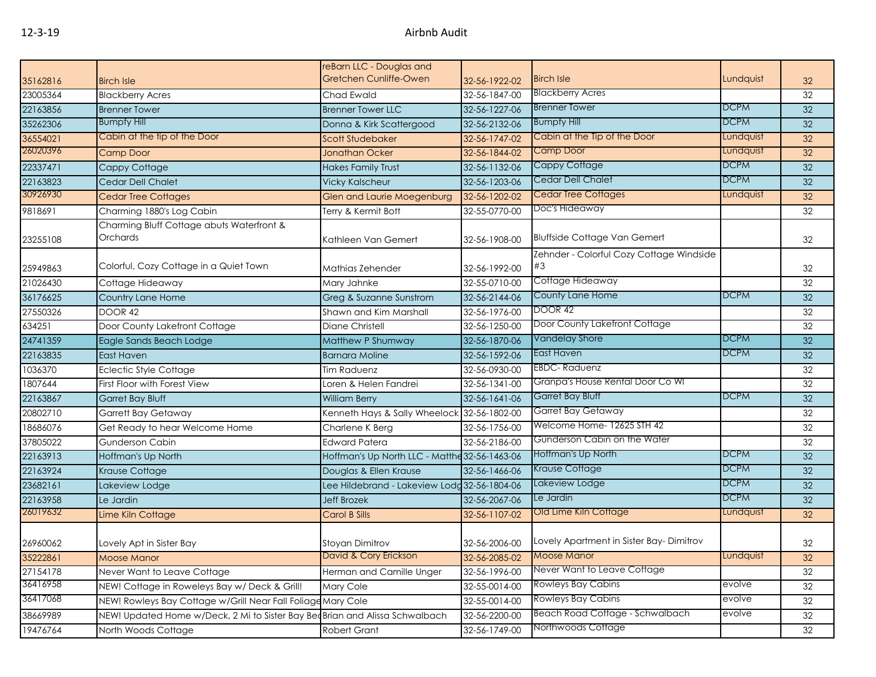| Gretchen Cunliffe-Owen<br><b>Birch Isle</b><br>35162816<br>32-56-1922-02<br><b>Birch Isle</b><br><b>Blackberry Acres</b><br>23005364<br><b>Blackberry Acres</b><br>32-56-1847-00<br>Chad Ewald<br><b>Brenner Tower</b><br>22163856<br>32-56-1227-06<br><b>Brenner Tower</b><br><b>Brenner Tower LLC</b><br><b>Bumpfy Hill</b><br><b>Bumpfy Hill</b><br>35262306<br>32-56-2132-06<br>Donna & Kirk Scattergood<br>Cabin at the tip of the Door<br>Cabin at the Tip of the Door<br>36554021<br><b>Scott Studebaker</b><br>32-56-1747-02 | Lundquist<br><b>DCPM</b><br><b>DCPM</b><br>Lundquist<br>Lundquist<br><b>DCPM</b> | 32<br>32<br>32<br>32<br>32 |
|--------------------------------------------------------------------------------------------------------------------------------------------------------------------------------------------------------------------------------------------------------------------------------------------------------------------------------------------------------------------------------------------------------------------------------------------------------------------------------------------------------------------------------------|----------------------------------------------------------------------------------|----------------------------|
|                                                                                                                                                                                                                                                                                                                                                                                                                                                                                                                                      |                                                                                  |                            |
|                                                                                                                                                                                                                                                                                                                                                                                                                                                                                                                                      |                                                                                  |                            |
|                                                                                                                                                                                                                                                                                                                                                                                                                                                                                                                                      |                                                                                  |                            |
|                                                                                                                                                                                                                                                                                                                                                                                                                                                                                                                                      |                                                                                  |                            |
|                                                                                                                                                                                                                                                                                                                                                                                                                                                                                                                                      |                                                                                  |                            |
| 26020396<br><b>Camp Door</b><br><b>Camp Door</b><br><b>Jonathan Ocker</b><br>32-56-1844-02                                                                                                                                                                                                                                                                                                                                                                                                                                           |                                                                                  | 32                         |
| Cappy Cottage<br>22337471<br><b>Hakes Family Trust</b><br>32-56-1132-06<br>Cappy Cottage                                                                                                                                                                                                                                                                                                                                                                                                                                             |                                                                                  | 32                         |
| Cedar Dell Chalet<br>22163823<br>Cedar Dell Chalet<br>32-56-1203-06<br><b>Vicky Kalscheur</b>                                                                                                                                                                                                                                                                                                                                                                                                                                        | <b>DCPM</b>                                                                      | 32                         |
| 30926930<br><b>Cedar Tree Cottages</b><br>32-56-1202-02<br><b>Cedar Tree Cottages</b><br><b>Glen and Laurie Moegenburg</b>                                                                                                                                                                                                                                                                                                                                                                                                           | Lundquist                                                                        | 32                         |
| Doc's Hideaway<br>9818691<br>Charming 1880's Log Cabin<br>Terry & Kermit Bott<br>32-55-0770-00                                                                                                                                                                                                                                                                                                                                                                                                                                       |                                                                                  | 32                         |
| Charming Bluff Cottage abuts Waterfront &<br><b>Bluffside Cottage Van Gemert</b><br>Orchards<br>Kathleen Van Gemert<br>32-56-1908-00<br>23255108                                                                                                                                                                                                                                                                                                                                                                                     |                                                                                  | 32                         |
| Zehnder - Colorful Cozy Cottage Windside                                                                                                                                                                                                                                                                                                                                                                                                                                                                                             |                                                                                  |                            |
| Colorful, Cozy Cottage in a Quiet Town<br>#3<br>32-56-1992-00<br>25949863<br>Mathias Zehender                                                                                                                                                                                                                                                                                                                                                                                                                                        |                                                                                  | 32                         |
| Cottage Hideaway<br>21026430<br>32-55-0710-00<br>Cottage Hideaway<br>Mary Jahnke                                                                                                                                                                                                                                                                                                                                                                                                                                                     |                                                                                  | 32                         |
| County Lane Home<br>36176625<br>Country Lane Home<br>Greg & Suzanne Sunstrom<br>32-56-2144-06                                                                                                                                                                                                                                                                                                                                                                                                                                        | <b>DCPM</b>                                                                      | 32                         |
| DOOR 42<br>27550326<br>32-56-1976-00<br>DOOR 42<br>Shawn and Kim Marshall                                                                                                                                                                                                                                                                                                                                                                                                                                                            |                                                                                  | 32                         |
| Door County Lakefront Cottage<br>634251<br>Door County Lakefront Cottage<br><b>Diane Christell</b><br>32-56-1250-00                                                                                                                                                                                                                                                                                                                                                                                                                  |                                                                                  | $\overline{32}$            |
| <b>Vandelay Shore</b><br>24741359<br>Eagle Sands Beach Lodge<br>Matthew P Shumway<br>32-56-1870-06                                                                                                                                                                                                                                                                                                                                                                                                                                   | <b>DCPM</b>                                                                      | 32                         |
| East Haven<br>22163835<br>32-56-1592-06<br>East Haven<br><b>Barnara Moline</b>                                                                                                                                                                                                                                                                                                                                                                                                                                                       | <b>DCPM</b>                                                                      | 32                         |
| <b>EBDC-Raduenz</b><br>1036370<br>32-56-0930-00<br><b>Eclectic Style Cottage</b><br><b>Tim Raduenz</b>                                                                                                                                                                                                                                                                                                                                                                                                                               |                                                                                  | 32                         |
| Granpa's House Rental Door Co WI<br>1807644<br>First Floor with Forest View<br>32-56-1341-00<br>Loren & Helen Fandrei                                                                                                                                                                                                                                                                                                                                                                                                                |                                                                                  | 32                         |
| <b>Garret Bay Bluff</b><br>22163867<br><b>Garret Bay Bluff</b><br>32-56-1641-06<br><b>William Berry</b>                                                                                                                                                                                                                                                                                                                                                                                                                              | <b>DCPM</b>                                                                      | 32                         |
| Garret Bay Getaway<br>20802710<br><b>Garrett Bay Getaway</b><br>Kenneth Hays & Sally Wheelock 32-56-1802-00                                                                                                                                                                                                                                                                                                                                                                                                                          |                                                                                  | 32                         |
| Welcome Home-12625 STH 42<br>18686076<br>Get Ready to hear Welcome Home<br>32-56-1756-00<br>Charlene K Berg                                                                                                                                                                                                                                                                                                                                                                                                                          |                                                                                  | 32                         |
| Gunderson Cabin on the Water<br>37805022<br><b>Gunderson Cabin</b><br><b>Edward Patera</b><br>32-56-2186-00                                                                                                                                                                                                                                                                                                                                                                                                                          |                                                                                  | 32                         |
| Hoffman's Up North<br>22163913<br>Hoffman's Up North<br>Hoffman's Up North LLC - Matthe 32-56-1463-06                                                                                                                                                                                                                                                                                                                                                                                                                                | <b>DCPM</b>                                                                      | 32                         |
| <b>Krause Cottage</b><br>22163924<br>Krause Cottage<br>Douglas & Ellen Krause<br>32-56-1466-06                                                                                                                                                                                                                                                                                                                                                                                                                                       | <b>DCPM</b>                                                                      | 32                         |
| Lakeview Lodge<br>23682161<br>Lee Hildebrand - Lakeview Lodg 32-56-1804-06<br>Lakeview Lodge                                                                                                                                                                                                                                                                                                                                                                                                                                         | <b>DCPM</b>                                                                      | 32                         |
| Le Jardin<br>22163958<br>Le Jardin<br><b>Jeff Brozek</b><br>32-56-2067-06                                                                                                                                                                                                                                                                                                                                                                                                                                                            | <b>DCPM</b>                                                                      | 32                         |
| 26019632<br>Old Lime Kiln Cottage<br>32-56-1107-02<br>Lime Kiln Cottage<br><b>Carol B Sills</b>                                                                                                                                                                                                                                                                                                                                                                                                                                      | Lundquist                                                                        | 32                         |
| Lovely Apartment in Sister Bay-Dimitrov<br>26960062<br>Lovely Apt in Sister Bay<br>Stoyan Dimitrov<br>32-56-2006-00                                                                                                                                                                                                                                                                                                                                                                                                                  |                                                                                  | 32                         |
| 35222861<br>Moose Manor<br>David & Cory Erickson<br>32-56-2085-02<br><b>MOOSE MANOR</b>                                                                                                                                                                                                                                                                                                                                                                                                                                              | Lundquisi                                                                        | 32                         |
| Never Want to Leave Cottage<br>27154178<br>32-56-1996-00<br>Never Want to Leave Cottage<br>Herman and Camille Unger                                                                                                                                                                                                                                                                                                                                                                                                                  |                                                                                  | 32                         |
| 36416958<br><b>Rowleys Bay Cabins</b><br>NEW! Cottage in Roweleys Bay w/ Deck & Grill!<br>32-55-0014-00<br><b>Mary Cole</b>                                                                                                                                                                                                                                                                                                                                                                                                          | evolve                                                                           | 32                         |
| 36417068<br><b>Rowleys Bay Cabins</b><br>NEW! Rowleys Bay Cottage w/Grill Near Fall Foliage Mary Cole<br>32-55-0014-00                                                                                                                                                                                                                                                                                                                                                                                                               | evolve                                                                           | 32                         |
| Beach Road Cottage - Schwalbach<br>38669989<br>NEW! Updated Home w/Deck, 2 Mi to Sister Bay BecBrian and Alissa Schwalbach<br>32-56-2200-00                                                                                                                                                                                                                                                                                                                                                                                          | evolve                                                                           | 32                         |
| Northwoods Cottage<br>19476764<br>North Woods Cottage<br><b>Robert Grant</b><br>32-56-1749-00                                                                                                                                                                                                                                                                                                                                                                                                                                        |                                                                                  | 32                         |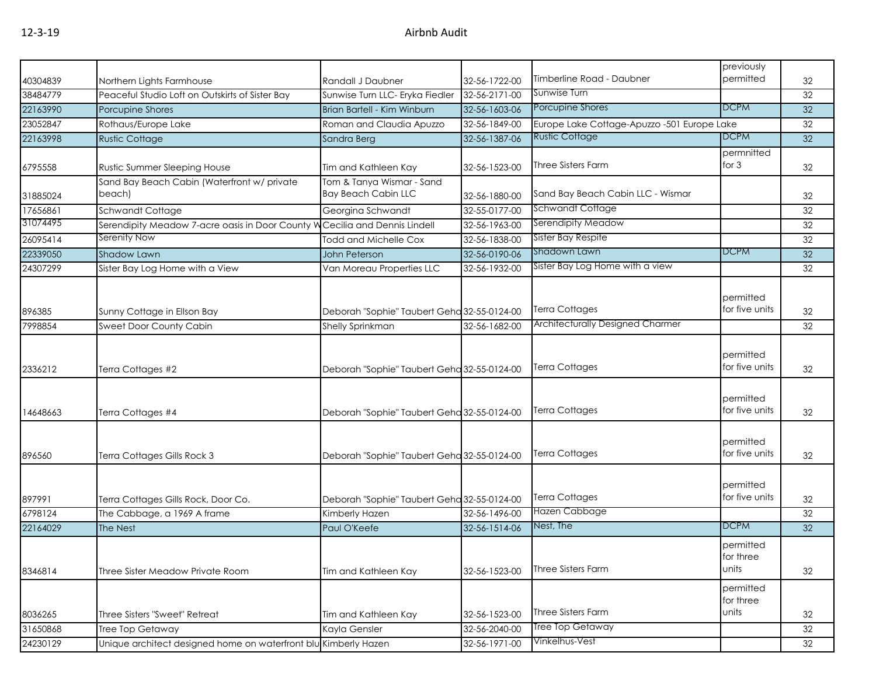|          |                                                                             |                                                         |               |                                                                  | previously                      |    |
|----------|-----------------------------------------------------------------------------|---------------------------------------------------------|---------------|------------------------------------------------------------------|---------------------------------|----|
| 40304839 | Northern Lights Farmhouse                                                   | Randall J Daubner                                       | 32-56-1722-00 | Timberline Road - Daubner                                        | permitted                       | 32 |
| 38484779 | Peaceful Studio Loft on Outskirts of Sister Bay                             | Sunwise Turn LLC- Eryka Fiedler                         | 32-56-2171-00 | Sunwise Turn                                                     |                                 | 32 |
| 22163990 | Porcupine Shores                                                            | Brian Bartell - Kim Winburn                             | 32-56-1603-06 | Porcupine Shores                                                 | <b>DCPM</b>                     | 32 |
| 23052847 | Rothaus/Europe Lake                                                         | Roman and Claudia Apuzzo                                | 32-56-1849-00 | Europe Lake Cottage-Apuzzo -501 Europe Lake                      |                                 | 32 |
| 22163998 | <b>Rustic Cottage</b>                                                       | Sandra Berg                                             | 32-56-1387-06 | <b>Rustic Cottage</b>                                            | <b>DCPM</b>                     | 32 |
| 6795558  | Rustic Summer Sleeping House                                                | Tim and Kathleen Kay                                    | 32-56-1523-00 | Three Sisters Farm                                               | permnitted<br>for $3$           | 32 |
| 31885024 | Sand Bay Beach Cabin (Waterfront w/ private<br>beach)                       | Tom & Tanya Wismar - Sand<br><b>Bay Beach Cabin LLC</b> | 32-56-1880-00 | Sand Bay Beach Cabin LLC - Wismar                                |                                 | 32 |
| 17656861 | Schwandt Cottage                                                            | Georgina Schwandt                                       | 32-55-0177-00 | <b>Schwandt Cottage</b>                                          |                                 | 32 |
| 31074495 | Serendipity Meadow 7-acre oasis in Door County W Cecilia and Dennis Lindell |                                                         | 32-56-1963-00 | Serendipity Meadow                                               |                                 | 32 |
| 26095414 | Serenity Now                                                                | <b>Todd and Michelle Cox</b>                            | 32-56-1838-00 | Sister Bay Respite                                               |                                 | 32 |
| 22339050 | <b>Shadow Lawn</b>                                                          | <b>John Peterson</b>                                    | 32-56-0190-06 | Shadown Lawn                                                     | <b>DCPM</b>                     | 32 |
| 24307299 | Sister Bay Log Home with a View                                             | Van Moreau Properties LLC                               | 32-56-1932-00 | Sister Bay Log Home with a view                                  |                                 | 32 |
| 896385   | Sunny Cottage in Ellson Bay                                                 | Deborah "Sophie" Taubert Geha 32-55-0124-00             |               | <b>Terra Cottages</b><br><b>Architecturally Designed Charmer</b> | permitted<br>for five units     | 32 |
| 7998854  | Sweet Door County Cabin                                                     | Shelly Sprinkman                                        | 32-56-1682-00 |                                                                  |                                 | 32 |
| 2336212  | Terra Cottages #2                                                           | Deborah "Sophie" Taubert Geha 32-55-0124-00             |               | <b>Terra Cottages</b>                                            | permitted<br>for five units     | 32 |
| 14648663 | Terra Cottages #4                                                           | Deborah "Sophie" Taubert Geha 32-55-0124-00             |               | <b>Terra Cottages</b>                                            | permitted<br>for five units     | 32 |
| 896560   | Terra Cottages Gills Rock 3                                                 | Deborah "Sophie" Taubert Geha 32-55-0124-00             |               | <b>Terra Cottages</b>                                            | permitted<br>for five units     | 32 |
| 897991   | Terra Cottages Gills Rock, Door Co.                                         | Deborah "Sophie" Taubert Geha 32-55-0124-00             |               | <b>Terra Cottages</b>                                            | permitted<br>for five units     | 32 |
| 6798124  | The Cabbage, a 1969 A frame                                                 | Kimberly Hazen                                          | 32-56-1496-00 | Hazen Cabbage                                                    |                                 | 32 |
| 22164029 | The Nest                                                                    | Paul O'Keefe                                            | 32-56-1514-06 | Nest, The                                                        | <b>DCPM</b>                     | 32 |
| 8346814  | Three Sister Meadow Private Room                                            | Tim and Kathleen Kay                                    | 32-56-1523-00 | Three Sisters Farm                                               | permitted<br>for three<br>units | 32 |
| 8036265  | Three Sisters "Sweet" Retreat                                               | Tim and Kathleen Kay                                    | 32-56-1523-00 | Three Sisters Farm                                               | permitted<br>for three<br>units | 32 |
| 31650868 | <b>Tree Top Getaway</b>                                                     | Kayla Gensler                                           | 32-56-2040-00 | Tree Top Getaway                                                 |                                 | 32 |
| 24230129 | Unique architect designed home on waterfront blu Kimberly Hazen             |                                                         | 32-56-1971-00 | Vinkelhus-Vest                                                   |                                 | 32 |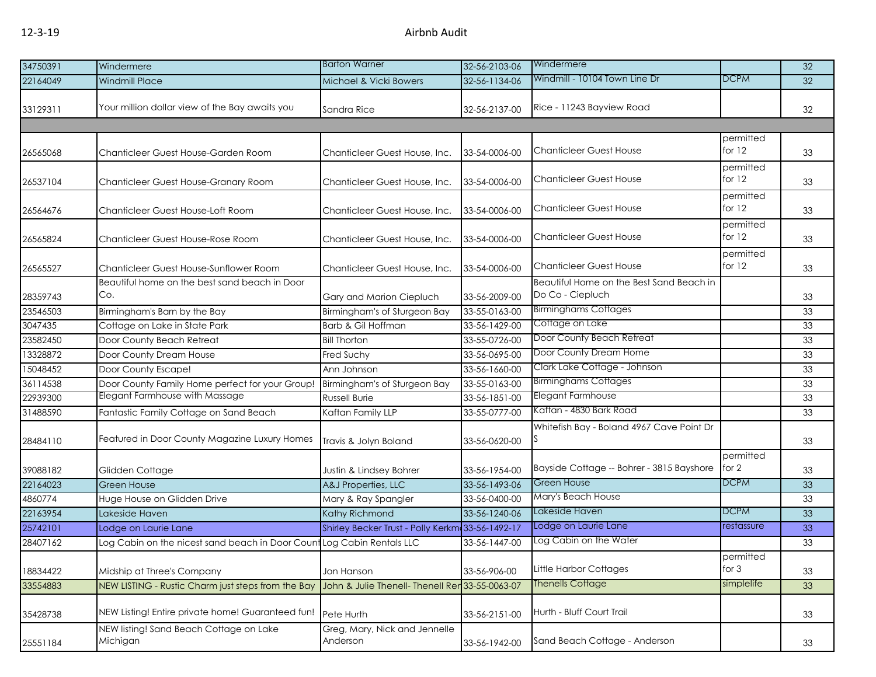| 34750391 | Windermere                                                             | <b>Barton Warner</b>                             | 32-56-2103-06 | Windermere                                                   |                       | 32 |
|----------|------------------------------------------------------------------------|--------------------------------------------------|---------------|--------------------------------------------------------------|-----------------------|----|
| 22164049 | <b>Windmill Place</b>                                                  | Michael & Vicki Bowers                           | 32-56-1134-06 | Windmill - 10104 Town Line Dr                                | <b>DCPM</b>           | 32 |
| 33129311 | Your million dollar view of the Bay awaits you                         | Sandra Rice                                      | 32-56-2137-00 | Rice - 11243 Bayview Road                                    |                       | 32 |
| 26565068 | Chanticleer Guest House-Garden Room                                    | Chanticleer Guest House, Inc.                    | 33-54-0006-00 | <b>Chanticleer Guest House</b>                               | permitted<br>for $12$ | 33 |
| 26537104 | Chanticleer Guest House-Granary Room                                   | Chanticleer Guest House, Inc.                    | 33-54-0006-00 | <b>Chanticleer Guest House</b>                               | permitted<br>for $12$ | 33 |
| 26564676 | Chanticleer Guest House-Loft Room                                      | Chanticleer Guest House, Inc.                    | 33-54-0006-00 | <b>Chanticleer Guest House</b>                               | permitted<br>for $12$ | 33 |
| 26565824 | Chanticleer Guest House-Rose Room                                      | Chanticleer Guest House, Inc.                    | 33-54-0006-00 | <b>Chanticleer Guest House</b>                               | permitted<br>for $12$ | 33 |
| 26565527 | Chanticleer Guest House-Sunflower Room                                 | Chanticleer Guest House, Inc.                    | 33-54-0006-00 | <b>Chanticleer Guest House</b>                               | permitted<br>for $12$ | 33 |
| 28359743 | Beautiful home on the best sand beach in Door<br>Co.                   | Gary and Marion Ciepluch                         | 33-56-2009-00 | Beautiful Home on the Best Sand Beach in<br>Do Co - Ciepluch |                       | 33 |
| 23546503 | Birmingham's Barn by the Bay                                           | Birmingham's of Sturgeon Bay                     | 33-55-0163-00 | <b>Birminghams Cottages</b>                                  |                       | 33 |
| 3047435  | Cottage on Lake in State Park                                          | Barb & Gil Hoffman                               | 33-56-1429-00 | Cottage on Lake                                              |                       | 33 |
| 23582450 | Door County Beach Retreat                                              | <b>Bill Thorton</b>                              | 33-55-0726-00 | Door County Beach Retreat                                    |                       | 33 |
| 13328872 | Door County Dream House                                                | Fred Suchy                                       | 33-56-0695-00 | Door County Dream Home                                       |                       | 33 |
| 15048452 | Door County Escape!                                                    | Ann Johnson                                      | 33-56-1660-00 | Clark Lake Cottage - Johnson                                 |                       | 33 |
| 36114538 | Door County Family Home perfect for your Group!                        | Birmingham's of Sturgeon Bay                     | 33-55-0163-00 | <b>Birminghams Cottages</b>                                  |                       | 33 |
| 22939300 | Elegant Farmhouse with Massage                                         | <b>Russell Burie</b>                             | 33-56-1851-00 | Elegant Farmhouse                                            |                       | 33 |
| 31488590 | Fantastic Family Cottage on Sand Beach                                 | Kaftan Family LLP                                | 33-55-0777-00 | Kaftan - 4830 Bark Road                                      |                       | 33 |
| 28484110 | Featured in Door County Magazine Luxury Homes                          | Travis & Jolyn Boland                            | 33-56-0620-00 | Whitefish Bay - Boland 4967 Cave Point Dr                    |                       | 33 |
| 39088182 | Glidden Cottage                                                        | Justin & Lindsey Bohrer                          | 33-56-1954-00 | Bayside Cottage -- Bohrer - 3815 Bayshore                    | permitted<br>for 2    | 33 |
| 22164023 | <b>Green House</b>                                                     | A&J Properties, LLC                              | 33-56-1493-06 | Green House                                                  | <b>DCPM</b>           | 33 |
| 4860774  | Huge House on Glidden Drive                                            | Mary & Ray Spangler                              | 33-56-0400-00 | Mary's Beach House                                           |                       | 33 |
| 22163954 | Lakeside Haven                                                         | Kathy Richmond                                   | 33-56-1240-06 | Lakeside Haven                                               | <b>DCPM</b>           | 33 |
| 25742101 | Lodge on Laurie Lane                                                   | Shirley Becker Trust - Polly Kerkm 33-56-1492-17 |               | Lodge on Laurie Lane                                         | restassure            | 33 |
| 28407162 | Log Cabin on the nicest sand beach in Door Count Log Cabin Rentals LLC |                                                  | 33-56-1447-00 | Log Cabin on the Water                                       |                       | 33 |
| 18834422 | Midship at Three's Company                                             | Jon Hanson                                       | 33-56-906-00  | Little Harbor Cottages                                       | permitted<br>for $3$  | 33 |
| 33554883 | NEW LISTING - Rustic Charm just steps from the Bay                     | John & Julie Thenell- Thenell Rer 33-55-0063-07  |               | <b>Thenells Cottage</b>                                      | simplelife            | 33 |
| 35428738 | NEW Listing! Entire private home! Guaranteed fun!                      | Pete Hurth                                       | 33-56-2151-00 | Hurth - Bluff Court Trail                                    |                       | 33 |
| 25551184 | NEW listing! Sand Beach Cottage on Lake<br>Michigan                    | Greg, Mary, Nick and Jennelle<br>Anderson        | 33-56-1942-00 | Sand Beach Cottage - Anderson                                |                       | 33 |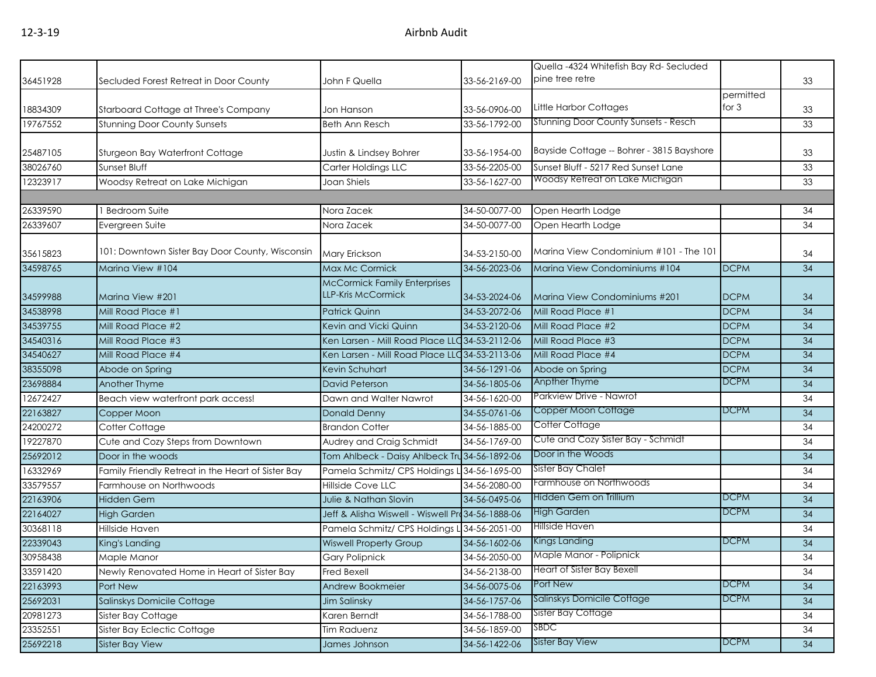|          |                                                    |                                                                  |               | Quella -4324 Whitefish Bay Rd-Secluded      |                      |    |
|----------|----------------------------------------------------|------------------------------------------------------------------|---------------|---------------------------------------------|----------------------|----|
| 36451928 | Secluded Forest Retreat in Door County             | John F Quella                                                    | 33-56-2169-00 | pine tree retre                             |                      | 33 |
| 18834309 | Starboard Cottage at Three's Company               | Jon Hanson                                                       | 33-56-0906-00 | Little Harbor Cottages                      | permitted<br>for $3$ | 33 |
| 19767552 | <b>Stunning Door County Sunsets</b>                | <b>Beth Ann Resch</b>                                            | 33-56-1792-00 | <b>Stunning Door County Sunsets - Resch</b> |                      | 33 |
|          |                                                    |                                                                  |               |                                             |                      |    |
| 25487105 | Sturgeon Bay Waterfront Cottage                    | Justin & Lindsey Bohrer                                          | 33-56-1954-00 | Bayside Cottage -- Bohrer - 3815 Bayshore   |                      | 33 |
| 38026760 | Sunset Bluff                                       | Carter Holdings LLC                                              | 33-56-2205-00 | Sunset Bluff - 5217 Red Sunset Lane         |                      | 33 |
| 12323917 | Woodsy Retreat on Lake Michigan                    | Joan Shiels                                                      | 33-56-1627-00 | Woodsy Retreat on Lake Michigan             |                      | 33 |
|          |                                                    |                                                                  |               |                                             |                      |    |
| 26339590 | 1 Bedroom Suite                                    | Nora Zacek                                                       | 34-50-0077-00 | Open Hearth Lodge                           |                      | 34 |
| 26339607 | Evergreen Suite                                    | Nora Zacek                                                       | 34-50-0077-00 | Open Hearth Lodge                           |                      | 34 |
| 35615823 | 101: Downtown Sister Bay Door County, Wisconsin    | Mary Erickson                                                    | 34-53-2150-00 | Marina View Condominium #101 - The 101      |                      | 34 |
| 34598765 | Marina View #104                                   | Max Mc Cormick                                                   | 34-56-2023-06 | Marina View Condominiums #104               | <b>DCPM</b>          | 34 |
| 34599988 | Marina View #201                                   | <b>McCormick Family Enterprises</b><br><b>LLP-Kris McCormick</b> | 34-53-2024-06 | Marina View Condominiums #201               | <b>DCPM</b>          | 34 |
| 34538998 | Mill Road Place #1                                 | <b>Patrick Quinn</b>                                             | 34-53-2072-06 | Mill Road Place #1                          | <b>DCPM</b>          | 34 |
| 34539755 | Mill Road Place #2                                 | Kevin and Vicki Quinn                                            | 34-53-2120-06 | Mill Road Place #2                          | <b>DCPM</b>          | 34 |
| 34540316 | Mill Road Place #3                                 | Ken Larsen - Mill Road Place LLC 34-53-2112-06                   |               | Mill Road Place #3                          | <b>DCPM</b>          | 34 |
| 34540627 | Mill Road Place #4                                 | Ken Larsen - Mill Road Place LLC 34-53-2113-06                   |               | Mill Road Place #4                          | <b>DCPM</b>          | 34 |
| 38355098 | Abode on Spring                                    | Kevin Schuhart                                                   | 34-56-1291-06 | Abode on Spring                             | <b>DCPM</b>          | 34 |
| 23698884 | Another Thyme                                      | David Peterson                                                   | 34-56-1805-06 | Anpther Thyme                               | <b>DCPM</b>          | 34 |
| 12672427 | Beach view waterfront park access!                 | Dawn and Walter Nawrot                                           | 34-56-1620-00 | Parkview Drive - Nawrot                     |                      | 34 |
| 22163827 | Copper Moon                                        | Donald Denny                                                     | 34-55-0761-06 | Copper Moon Cottage                         | <b>DCPM</b>          | 34 |
| 24200272 | Cotter Cottage                                     | <b>Brandon Cotter</b>                                            | 34-56-1885-00 | Cotter Cottage                              |                      | 34 |
| 19227870 | Cute and Cozy Steps from Downtown                  | Audrey and Craig Schmidt                                         | 34-56-1769-00 | Cute and Cozy Sister Bay - Schmidt          |                      | 34 |
| 25692012 | Door in the woods                                  | Tom Ahlbeck - Daisy Ahlbeck Tru 34-56-1892-06                    |               | Door in the Woods                           |                      | 34 |
| 16332969 | Family Friendly Retreat in the Heart of Sister Bay | Pamela Schmitz/ CPS Holdings L                                   | 34-56-1695-00 | Sister Bay Chalet                           |                      | 34 |
| 33579557 | Farmhouse on Northwoods                            | <b>Hillside Cove LLC</b>                                         | 34-56-2080-00 | Farmhouse on Northwoods                     |                      | 34 |
| 22163906 | <b>Hidden Gem</b>                                  | Julie & Nathan Slovin                                            | 34-56-0495-06 | Hidden Gem on Trillium                      | <b>DCPM</b>          | 34 |
| 22164027 | <b>High Garden</b>                                 | Jeff & Alisha Wiswell - Wiswell Pro 34-56-1888-06                |               | <b>High Garden</b>                          | <b>DCPM</b>          | 34 |
| 30368118 | Hillside Haven                                     | Pamela Schmitz/ CPS Holdings L 34-56-2051-00                     |               | Hillside Haven                              |                      | 34 |
| 22339043 | King's Landing                                     | <b>Wiswell Property Group</b>                                    | 34-56-1602-06 | <b>Kings Landing</b>                        | <b>DCPM</b>          | 34 |
| 30958438 | Maple Manor                                        | Gary Polipnick                                                   | 34-56-2050-00 | Maple Manor - Polipnick                     |                      | 34 |
| 33591420 | Newly Renovated Home in Heart of Sister Bay        | Fred Bexell                                                      | 34-56-2138-00 | Heart of Sister Bay Bexell                  |                      | 34 |
| 22163993 | Port New                                           | Andrew Bookmeier                                                 | 34-56-0075-06 | Port New                                    | <b>DCPM</b>          | 34 |
| 25692031 | Salinskys Domicile Cottage                         | Jim Salinsky                                                     | 34-56-1757-06 | Salinskys Domicile Cottage                  | <b>DCPM</b>          | 34 |
| 20981273 | Sister Bay Cottage                                 | Karen Berndt                                                     | 34-56-1788-00 | Sister Bay Cottage                          |                      | 34 |
| 23352551 | Sister Bay Eclectic Cottage                        | Tim Raduenz                                                      | 34-56-1859-00 | <b>SBDC</b>                                 |                      | 34 |
| 25692218 | <b>Sister Bay View</b>                             | James Johnson                                                    | 34-56-1422-06 | <b>Sister Bay View</b>                      | <b>DCPM</b>          | 34 |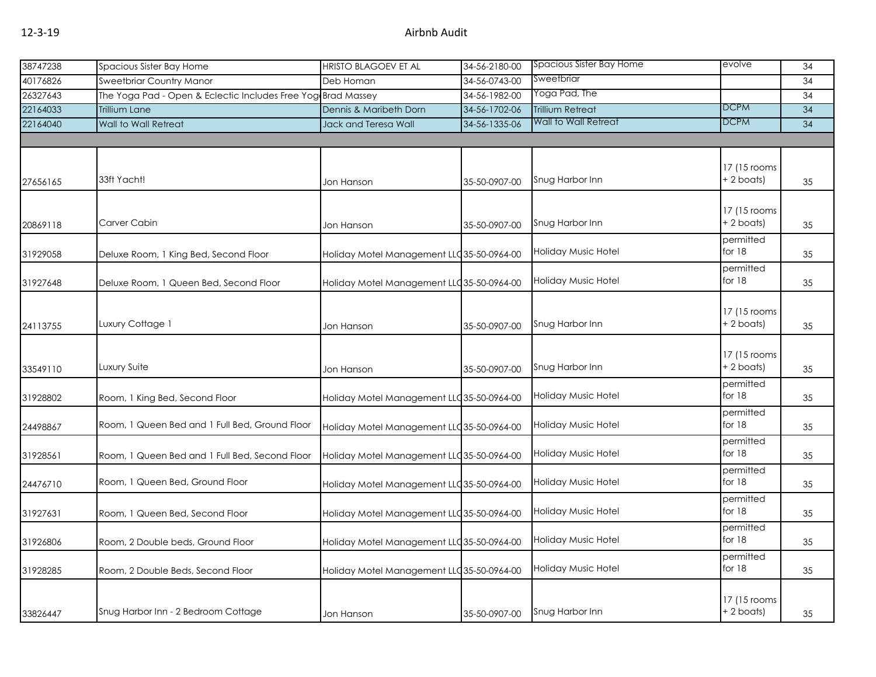| 38747238 | Spacious Sister Bay Home                                     | <b>HRISTO BLAGOEV ET AL</b>                | 34-56-2180-00 | Spacious Sister Bay Home   | evolve        | 34 |
|----------|--------------------------------------------------------------|--------------------------------------------|---------------|----------------------------|---------------|----|
| 40176826 | Sweetbriar Country Manor                                     | Deb Homan                                  | 34-56-0743-00 | Sweetbriar                 |               | 34 |
| 26327643 | The Yoga Pad - Open & Eclectic Includes Free Yog Brad Massey |                                            | 34-56-1982-00 | Yoga Pad, The              |               | 34 |
| 22164033 | <b>Trillium Lane</b>                                         | Dennis & Maribeth Dorn                     | 34-56-1702-06 | <b>Trillium Retreat</b>    | <b>DCPM</b>   | 34 |
| 22164040 | <b>Wall to Wall Retreat</b>                                  | Jack and Teresa Wall                       | 34-56-1335-06 | Wall to Wall Retreat       | <b>DCPM</b>   | 34 |
|          |                                                              |                                            |               |                            |               |    |
|          |                                                              |                                            |               |                            |               |    |
|          |                                                              |                                            |               |                            | 17 (15 rooms) |    |
| 27656165 | 33ft Yacht!                                                  | Jon Hanson                                 | 35-50-0907-00 | Snug Harbor Inn            | + 2 boats)    | 35 |
|          |                                                              |                                            |               |                            |               |    |
|          |                                                              |                                            |               |                            | 17 (15 rooms) |    |
| 20869118 | Carver Cabin                                                 | Jon Hanson                                 | 35-50-0907-00 | Snug Harbor Inn            | + 2 boats)    | 35 |
|          |                                                              |                                            |               |                            | permitted     |    |
| 31929058 | Deluxe Room, 1 King Bed, Second Floor                        | Holiday Motel Management LLC 35-50-0964-00 |               | <b>Holiday Music Hotel</b> | for $18$      | 35 |
|          |                                                              |                                            |               |                            | permitted     |    |
| 31927648 | Deluxe Room, 1 Queen Bed, Second Floor                       | Holiday Motel Management LLC 35-50-0964-00 |               | <b>Holiday Music Hotel</b> | for 18        | 35 |
|          |                                                              |                                            |               |                            |               |    |
|          |                                                              |                                            |               |                            | 17 (15 rooms  |    |
| 24113755 | Luxury Cottage 1                                             | Jon Hanson                                 | 35-50-0907-00 | Snug Harbor Inn            | + 2 boats)    | 35 |
|          |                                                              |                                            |               |                            |               |    |
|          |                                                              |                                            |               |                            | 17 (15 rooms  |    |
| 33549110 | Luxury Suite                                                 | Jon Hanson                                 | 35-50-0907-00 | Snug Harbor Inn            | + 2 boats)    | 35 |
|          |                                                              |                                            |               |                            | permitted     |    |
| 31928802 | Room, 1 King Bed, Second Floor                               | Holiday Motel Management LLC 35-50-0964-00 |               | <b>Holiday Music Hotel</b> | for $18$      | 35 |
|          |                                                              |                                            |               |                            | permitted     |    |
| 24498867 | Room, 1 Queen Bed and 1 Full Bed, Ground Floor               | Holiday Motel Management LLC 35-50-0964-00 |               | <b>Holiday Music Hotel</b> | for 18        | 35 |
|          |                                                              |                                            |               |                            | permitted     |    |
| 31928561 | Room, 1 Queen Bed and 1 Full Bed, Second Floor               | Holiday Motel Management LLC 35-50-0964-00 |               | <b>Holiday Music Hotel</b> | for $18$      | 35 |
|          |                                                              |                                            |               |                            | permitted     |    |
| 24476710 | Room, 1 Queen Bed, Ground Floor                              | Holiday Motel Management LLC 35-50-0964-00 |               | Holiday Music Hotel        | for $18$      | 35 |
|          |                                                              |                                            |               |                            | permitted     |    |
| 31927631 | Room, 1 Queen Bed, Second Floor                              | Holiday Motel Management LLC 35-50-0964-00 |               | Holiday Music Hotel        | for $18$      | 35 |
|          |                                                              |                                            |               |                            | permitted     |    |
| 31926806 | Room, 2 Double beds, Ground Floor                            | Holiday Motel Management LLC 35-50-0964-00 |               | <b>Holiday Music Hotel</b> | for $18$      | 35 |
|          |                                                              |                                            |               |                            | permitted     |    |
| 31928285 | Room, 2 Double Beds, Second Floor                            | Holiday Motel Management LLC 35-50-0964-00 |               | <b>Holiday Music Hotel</b> | for 18        | 35 |
|          |                                                              |                                            |               |                            |               |    |
|          |                                                              |                                            |               |                            | 17 (15 rooms  |    |
| 33826447 | Snug Harbor Inn - 2 Bedroom Cottage                          | Jon Hanson                                 | 35-50-0907-00 | Snug Harbor Inn            | +2 boats)     | 35 |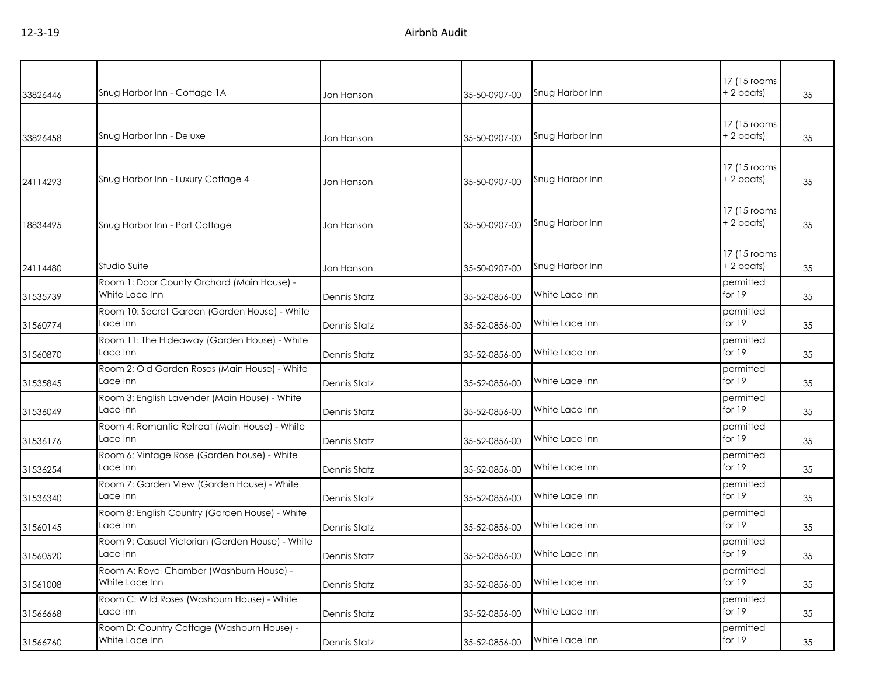| 33826446 | Snug Harbor Inn - Cottage 1A                                 | Jon Hanson          | 35-50-0907-00 | Snug Harbor Inn               | 17 (15 rooms<br>+ 2 boats)  | 35 |
|----------|--------------------------------------------------------------|---------------------|---------------|-------------------------------|-----------------------------|----|
| 33826458 | Snug Harbor Inn - Deluxe                                     | Jon Hanson          | 35-50-0907-00 | Snug Harbor Inn               | 17 (15 rooms)<br>+ 2 boats) | 35 |
| 24114293 | Snug Harbor Inn - Luxury Cottage 4                           | Jon Hanson          | 35-50-0907-00 | Snug Harbor Inn               | 17 (15 rooms)<br>+2 boats)  | 35 |
| 18834495 | Snug Harbor Inn - Port Cottage                               | Jon Hanson          | 35-50-0907-00 | Snug Harbor Inn               | 17 (15 rooms<br>+2 boats)   | 35 |
| 24114480 | Studio Suite                                                 | Jon Hanson          | 35-50-0907-00 | Snug Harbor Inn               | 17 (15 rooms<br>+ 2 boats)  | 35 |
| 31535739 | Room 1: Door County Orchard (Main House) -<br>White Lace Inn | <b>Dennis Statz</b> | 35-52-0856-00 | White Lace Inn                | permitted<br>for $19$       | 35 |
| 31560774 | Room 10: Secret Garden (Garden House) - White<br>Lace Inn    | <b>Dennis Statz</b> | 35-52-0856-00 | White Lace Inn                | permitted<br>for 19         | 35 |
| 31560870 | Room 11: The Hideaway (Garden House) - White<br>Lace Inn     | <b>Dennis Statz</b> | 35-52-0856-00 | White Lace Inn                | permitted<br>for 19         | 35 |
| 31535845 | Room 2: Old Garden Roses (Main House) - White<br>Lace Inn    | <b>Dennis Statz</b> | 35-52-0856-00 | White Lace Inn                | permitted<br>for $19$       | 35 |
| 31536049 | Room 3: English Lavender (Main House) - White<br>Lace Inn    | <b>Dennis Statz</b> | 35-52-0856-00 | White Lace Inn                | permitted<br>for 19         | 35 |
| 31536176 | Room 4: Romantic Retreat (Main House) - White<br>Lace Inn    | <b>Dennis Statz</b> | 35-52-0856-00 | White Lace Inn                | permitted<br>for 19         | 35 |
| 31536254 | Room 6: Vintage Rose (Garden house) - White<br>Lace Inn      | <b>Dennis Statz</b> | 35-52-0856-00 | White Lace Inn                | permitted<br>for 19         | 35 |
| 31536340 | Room 7: Garden View (Garden House) - White<br>Lace Inn       | <b>Dennis Statz</b> | 35-52-0856-00 | White Lace Inn                | permitted<br>for 19         | 35 |
| 31560145 | Room 8: English Country (Garden House) - White<br>Lace Inn   | <b>Dennis Statz</b> | 35-52-0856-00 | White Lace Inn                | permitted<br>for 19         | 35 |
| 31560520 | Room 9: Casual Victorian (Garden House) - White<br>Lace Inn  | Dennis Statz        |               | 35-52-0856-00  White Lace Inn | permitted<br>for 19         | 35 |
| 31561008 | Room A: Royal Chamber (Washburn House) -<br>White Lace Inn   | <b>Dennis Statz</b> | 35-52-0856-00 | White Lace Inn                | permitted<br>for 19         | 35 |
| 31566668 | Room C: Wild Roses (Washburn House) - White<br>Lace Inn      | <b>Dennis Statz</b> | 35-52-0856-00 | White Lace Inn                | permitted<br>for $19$       | 35 |
| 31566760 | Room D: Country Cottage (Washburn House) -<br>White Lace Inn | <b>Dennis Statz</b> | 35-52-0856-00 | White Lace Inn                | permitted<br>for $19$       | 35 |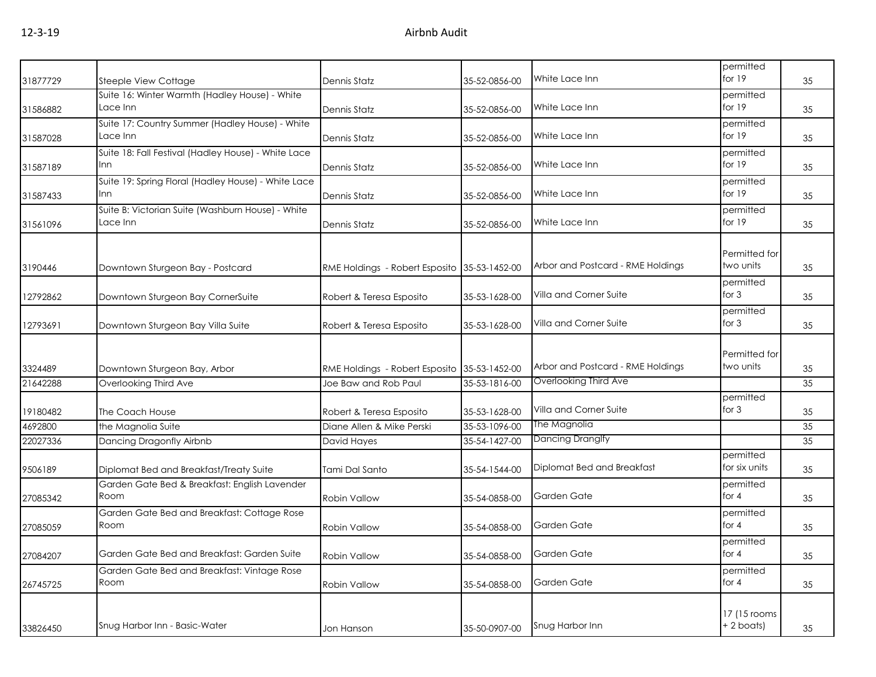| 31877729 | Steeple View Cottage                                          | Dennis Statz                                 | 35-52-0856-00 | White Lace Inn                    | permitted<br>for 19          | 35 |
|----------|---------------------------------------------------------------|----------------------------------------------|---------------|-----------------------------------|------------------------------|----|
| 31586882 | Suite 16: Winter Warmth (Hadley House) - White<br>Lace Inn    | Dennis Statz                                 | 35-52-0856-00 | White Lace Inn                    | permitted<br>for 19          | 35 |
| 31587028 | Suite 17: Country Summer (Hadley House) - White<br>Lace Inn   | Dennis Statz                                 | 35-52-0856-00 | White Lace Inn                    | permitted<br>for 19          | 35 |
| 31587189 | Suite 18: Fall Festival (Hadley House) - White Lace<br>Inn    | Dennis Statz                                 | 35-52-0856-00 | White Lace Inn                    | permitted<br>for 19          | 35 |
| 31587433 | Suite 19: Spring Floral (Hadley House) - White Lace<br>Inn    | Dennis Statz                                 | 35-52-0856-00 | White Lace Inn                    | permitted<br>for 19          | 35 |
| 31561096 | Suite B: Victorian Suite (Washburn House) - White<br>Lace Inn | Dennis Statz                                 | 35-52-0856-00 | White Lace Inn                    | permitted<br>for 19          | 35 |
| 3190446  | Downtown Sturgeon Bay - Postcard                              | RME Holdings - Robert Esposito 35-53-1452-00 |               | Arbor and Postcard - RME Holdings | Permitted for<br>two units   | 35 |
| 12792862 | Downtown Sturgeon Bay CornerSuite                             | Robert & Teresa Esposito                     | 35-53-1628-00 | Villa and Corner Suite            | permitted<br>for $3$         | 35 |
| 12793691 | Downtown Sturgeon Bay Villa Suite                             | Robert & Teresa Esposito                     | 35-53-1628-00 | Villa and Corner Suite            | permitted<br>for $3$         | 35 |
| 3324489  | Downtown Sturgeon Bay, Arbor                                  | RME Holdings - Robert Esposito 35-53-1452-00 |               | Arbor and Postcard - RME Holdings | Permitted for<br>two units   | 35 |
| 21642288 | Overlooking Third Ave                                         | Joe Baw and Rob Paul                         | 35-53-1816-00 | Overlooking Third Ave             |                              | 35 |
| 19180482 | The Coach House                                               | Robert & Teresa Esposito                     | 35-53-1628-00 | Villa and Corner Suite            | permitted<br>for $3$         | 35 |
| 4692800  | the Magnolia Suite                                            | Diane Allen & Mike Perski                    | 35-53-1096-00 | The Magnolia                      |                              | 35 |
| 22027336 | Dancing Dragonfly Airbnb                                      | David Hayes                                  | 35-54-1427-00 | Dancing Dranglfy                  |                              | 35 |
| 9506189  | Diplomat Bed and Breakfast/Treaty Suite                       | Tami Dal Santo                               | 35-54-1544-00 | Diplomat Bed and Breakfast        | permitted<br>for six units   | 35 |
| 27085342 | Garden Gate Bed & Breakfast: English Lavender<br>Room         | Robin Vallow                                 | 35-54-0858-00 | Garden Gate                       | permitted<br>for $4$         | 35 |
| 27085059 | Garden Gate Bed and Breakfast: Cottage Rose<br>Room           | Robin Vallow                                 | 35-54-0858-00 | Garden Gate                       | permitted<br>for $4$         | 35 |
| 27084207 | Garden Gate Bed and Breakfast: Garden Suite                   | Robin Vallow                                 | 35-54-0858-00 | Garden Gate                       | permitted<br>for $4$         | 35 |
| 26745725 | Garden Gate Bed and Breakfast: Vintage Rose<br>Room           | Robin Vallow                                 | 35-54-0858-00 | Garden Gate                       | permitted<br>for $4$         | 35 |
| 33826450 | Snug Harbor Inn - Basic-Water                                 | Jon Hanson                                   | 35-50-0907-00 | Snug Harbor Inn                   | 17 (15 rooms<br>$+ 2$ boats) | 35 |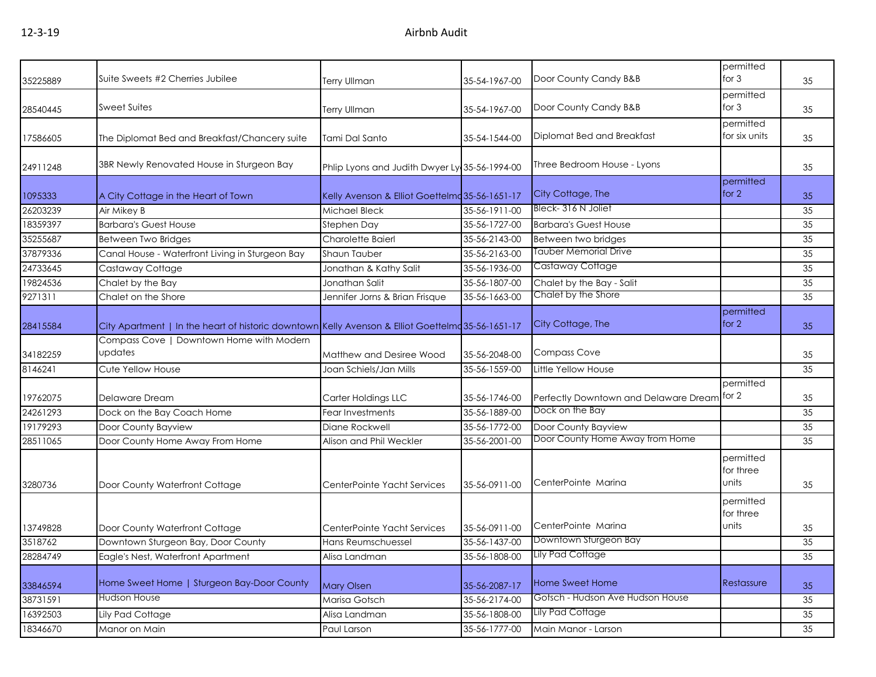|          |                                                                                                   |                                                |               |                                             | permitted                       |    |
|----------|---------------------------------------------------------------------------------------------------|------------------------------------------------|---------------|---------------------------------------------|---------------------------------|----|
| 35225889 | Suite Sweets #2 Cherries Jubilee                                                                  | <b>Terry Ullman</b>                            | 35-54-1967-00 | Door County Candy B&B                       | for $3$                         | 35 |
| 28540445 | <b>Sweet Suites</b>                                                                               | <b>Terry Ullman</b>                            | 35-54-1967-00 | Door County Candy B&B                       | permitted<br>for $3$            | 35 |
| 17586605 | The Diplomat Bed and Breakfast/Chancery suite                                                     | Tami Dal Santo                                 | 35-54-1544-00 | Diplomat Bed and Breakfast                  | permitted<br>for six units      | 35 |
| 24911248 | 3BR Newly Renovated House in Sturgeon Bay                                                         | Phlip Lyons and Judith Dwyer Ly 35-56-1994-00  |               | Three Bedroom House - Lyons                 |                                 | 35 |
| 1095333  | A City Cottage in the Heart of Town                                                               | Kelly Avenson & Elliot Goettelmd 35-56-1651-17 |               | City Cottage, The                           | <b>permitted</b><br>for 2       | 35 |
| 26203239 | Air Mikey B                                                                                       | Michael Bleck                                  | 35-56-1911-00 | Bleck-316 N Joliet                          |                                 | 35 |
| 18359397 | <b>Barbara's Guest House</b>                                                                      | Stephen Day                                    | 35-56-1727-00 | <b>Barbara's Guest House</b>                |                                 | 35 |
| 35255687 | Between Two Bridges                                                                               | Charolette Baierl                              | 35-56-2143-00 | Between two bridges                         |                                 | 35 |
| 37879336 | Canal House - Waterfront Living in Sturgeon Bay                                                   | Shaun Tauber                                   | 35-56-2163-00 | Tauber Memorial Drive                       |                                 | 35 |
| 24733645 | Castaway Cottage                                                                                  | Jonathan & Kathy Salit                         | 35-56-1936-00 | Castaway Cottage                            |                                 | 35 |
| 19824536 | Chalet by the Bay                                                                                 | Jonathan Salit                                 | 35-56-1807-00 | Chalet by the Bay - Salit                   |                                 | 35 |
| 9271311  | Chalet on the Shore                                                                               | Jennifer Jorns & Brian Frisque                 | 35-56-1663-00 | Chalet by the Shore                         |                                 | 35 |
| 28415584 | City Apartment   In the heart of historic downtown Kelly Avenson & Elliot Goettelmd 35-56-1651-17 |                                                |               | City Cottage, The                           | permitted<br>for 2              | 35 |
| 34182259 | Compass Cove   Downtown Home with Modern<br>updates                                               | Matthew and Desiree Wood                       | 35-56-2048-00 | <b>Compass Cove</b>                         |                                 | 35 |
| 8146241  | Cute Yellow House                                                                                 | Joan Schiels/Jan Mills                         | 35-56-1559-00 | Little Yellow House                         |                                 | 35 |
| 19762075 | Delaware Dream                                                                                    | Carter Holdings LLC                            | 35-56-1746-00 | Perfectly Downtown and Delaware Dream for 2 | permitted                       | 35 |
| 24261293 | Dock on the Bay Coach Home                                                                        | Fear Investments                               | 35-56-1889-00 | Dock on the Bay                             |                                 | 35 |
| 19179293 | Door County Bayview                                                                               | Diane Rockwell                                 | 35-56-1772-00 | Door County Bayview                         |                                 | 35 |
| 28511065 | Door County Home Away From Home                                                                   | Alison and Phil Weckler                        | 35-56-2001-00 | Door County Home Away from Home             |                                 | 35 |
| 3280736  | Door County Waterfront Cottage                                                                    | CenterPointe Yacht Services                    | 35-56-0911-00 | CenterPointe Marina                         | permitted<br>for three<br>units | 35 |
| 13749828 | Door County Waterfront Cottage                                                                    | CenterPointe Yacht Services                    | 35-56-0911-00 | CenterPointe Marina                         | permitted<br>for three<br>units | 35 |
| 3518762  | Downtown Sturgeon Bay, Door County                                                                | Hans Reumschuessel                             | 35-56-1437-00 | Downtown Sturgeon Bay                       |                                 | 35 |
| 28284749 | Eagle's Nest, Watertront Apartment                                                                | Alisa Landman                                  | 35-56-1808-00 | Lily Pad Cottage                            |                                 | 35 |
| 33846594 | Home Sweet Home   Sturgeon Bay-Door County                                                        | <b>Mary Olsen</b>                              | 35-56-2087-17 | Home Sweet Home                             | Restassure                      | 35 |
| 38731591 | Hudson House                                                                                      | Marisa Gotsch                                  | 35-56-2174-00 | Gotsch - Hudson Ave Hudson House            |                                 | 35 |
| 16392503 | Lily Pad Cottage                                                                                  | Alisa Landman                                  | 35-56-1808-00 | Lily Pad Cottage                            |                                 | 35 |
| 18346670 | Manor on Main                                                                                     | Paul Larson                                    | 35-56-1777-00 | Main Manor - Larson                         |                                 | 35 |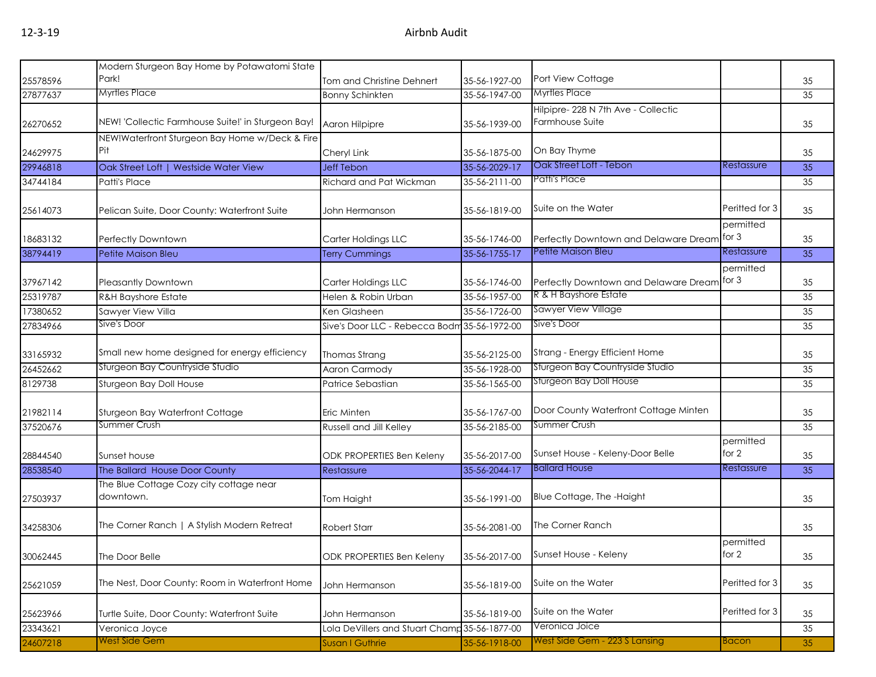|          | Modern Sturgeon Bay Home by Potawatomi State          |                                               |               |                                                       |                    |    |
|----------|-------------------------------------------------------|-----------------------------------------------|---------------|-------------------------------------------------------|--------------------|----|
| 25578596 | Park!                                                 | Tom and Christine Dehnert                     | 35-56-1927-00 | Port View Cottage                                     |                    | 35 |
| 27877637 | <b>Myrtles Place</b>                                  | <b>Bonny Schinkten</b>                        | 35-56-1947-00 | <b>Myrtles Place</b>                                  |                    | 35 |
| 26270652 | NEW! 'Collectic Farmhouse Suite!' in Sturgeon Bay!    | Aaron Hilpipre                                | 35-56-1939-00 | Hilpipre-228 N 7th Ave - Collectic<br>Farmhouse Suite |                    | 35 |
| 24629975 | NEW!Waterfront Sturgeon Bay Home w/Deck & Fire<br>Pit | Cheryl Link                                   | 35-56-1875-00 | On Bay Thyme                                          |                    | 35 |
| 29946818 | Oak Street Loft   Westside Water View                 | <b>Jeff Tebon</b>                             | 35-56-2029-17 | Oak Street Loft - Tebon                               | Restassure         | 35 |
| 34744184 | Patti's Place                                         | Richard and Pat Wickman                       | 35-56-2111-00 | Patti's Place                                         |                    | 35 |
| 25614073 | Pelican Suite, Door County: Waterfront Suite          | John Hermanson                                | 35-56-1819-00 | Suite on the Water                                    | Peritted for 3     | 35 |
| 18683132 | Perfectly Downtown                                    | Carter Holdings LLC                           | 35-56-1746-00 | Perfectly Downtown and Delaware Dream for 3           | permitted          | 35 |
| 38794419 | Petite Maison Bleu                                    | <b>Terry Cummings</b>                         | 35-56-1755-17 | Petite Maison Bleu                                    | Restassure         | 35 |
| 37967142 | <b>Pleasantly Downtown</b>                            | Carter Holdings LLC                           | 35-56-1746-00 | Perfectly Downtown and Delaware Dream                 | permitted<br>for 3 | 35 |
| 25319787 | <b>R&amp;H Bayshore Estate</b>                        | Helen & Robin Urban                           | 35-56-1957-00 | R & H Bayshore Estate                                 |                    | 35 |
| 17380652 | Sawyer View Villa                                     | Ken Glasheen                                  | 35-56-1726-00 | <b>Sawyer View Village</b>                            |                    | 35 |
| 27834966 | Sive's Door                                           | Sive's Door LLC - Rebecca Bodm 35-56-1972-00  |               | Sive's Door                                           |                    | 35 |
| 33165932 | Small new home designed for energy efficiency         | Thomas Strang                                 | 35-56-2125-00 | Strang - Energy Efficient Home                        |                    | 35 |
| 26452662 | Sturgeon Bay Countryside Studio                       | Aaron Carmody                                 | 35-56-1928-00 | Sturgeon Bay Countryside Studio                       |                    | 35 |
| 8129738  | Sturgeon Bay Doll House                               | Patrice Sebastian                             | 35-56-1565-00 | Sturgeon Bay Doll House                               |                    | 35 |
| 21982114 | Sturgeon Bay Waterfront Cottage                       | Eric Minten                                   | 35-56-1767-00 | Door County Waterfront Cottage Minten                 |                    | 35 |
| 37520676 | Summer Crush                                          | Russell and Jill Kelley                       | 35-56-2185-00 | Summer Crush                                          |                    | 35 |
| 28844540 | Sunset house                                          | ODK PROPERTIES Ben Keleny                     | 35-56-2017-00 | Sunset House - Keleny-Door Belle                      | permitted<br>for 2 | 35 |
| 28538540 | The Ballard House Door County                         | Restassure                                    | 35-56-2044-17 | <b>Ballard House</b>                                  | Restassure         | 35 |
| 27503937 | The Blue Cottage Cozy city cottage near<br>downtown.  | Tom Haight                                    | 35-56-1991-00 | Blue Cottage, The -Haight                             |                    | 35 |
| 34258306 | The Corner Ranch   A Stylish Modern Retreat           | <b>Robert Starr</b>                           | 35-56-2081-00 | The Corner Ranch                                      |                    | 35 |
| 30062445 | The Door Belle                                        | ODK PROPERTIES Ben Keleny                     | 35-56-2017-00 | Sunset House - Keleny                                 | permitted<br>for 2 | 35 |
| 25621059 | The Nest, Door County: Room in Waterfront Home        | John Hermanson                                | 35-56-1819-00 | Suite on the Water                                    | Peritted for 3     | 35 |
| 25623966 | Turtle Suite, Door County: Waterfront Suite           | John Hermanson                                | 35-56-1819-00 | Suite on the Water                                    | Peritted for 3     | 35 |
| 23343621 | Veronica Joyce                                        | Lola DeVillers and Stuart Champ 35-56-1877-00 |               | Veronica Joice                                        |                    | 35 |
| 24607218 | <b>West Side Gem</b>                                  | Susan I Guthrie                               | 35-56-1918-00 | West Side Gem - 223 S Lansing                         | <b>Bacon</b>       | 35 |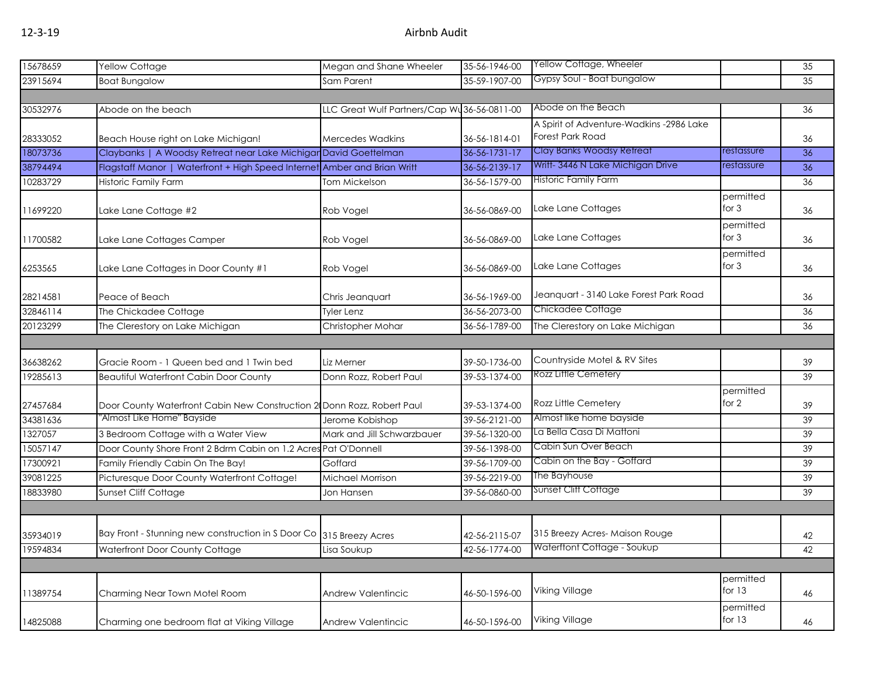| 15678659 | Yellow Cottage                                                           | Megan and Shane Wheeler                     | 35-56-1946-00 | Yellow Cottage, Wheeler                  |                       | 35 |
|----------|--------------------------------------------------------------------------|---------------------------------------------|---------------|------------------------------------------|-----------------------|----|
| 23915694 | <b>Boat Bungalow</b>                                                     | Sam Parent                                  | 35-59-1907-00 | Gypsy Soul - Boat bungalow               |                       | 35 |
|          |                                                                          |                                             |               |                                          |                       |    |
| 30532976 | Abode on the beach                                                       | LLC Great Wulf Partners/Cap Wu36-56-0811-00 |               | Abode on the Beach                       |                       | 36 |
|          |                                                                          |                                             |               | A Spirit of Adventure-Wadkins -2986 Lake |                       |    |
| 28333052 | Beach House right on Lake Michigan!                                      | Mercedes Wadkins                            | 36-56-1814-01 | <b>Forest Park Road</b>                  |                       | 36 |
| 18073736 | Claybanks   A Woodsy Retreat near Lake Michigar David Goettelman         |                                             | 36-56-1731-17 | Clay Banks Woodsy Retreat                | restassure            | 36 |
| 38794494 | Flagstaff Manor   Waterfront + High Speed Internet Amber and Brian Writt |                                             | 36-56-2139-17 | Writt-3446 N Lake Michigan Drive         | restassure            | 36 |
| 10283729 | Historic Family Farm                                                     | <b>Tom Mickelson</b>                        | 36-56-1579-00 | <b>Historic Family Farm</b>              |                       | 36 |
| 11699220 | Lake Lane Cottage #2                                                     | Rob Vogel                                   | 36-56-0869-00 | Lake Lane Cottages                       | permitted<br>for $3$  | 36 |
| 11700582 | Lake Lane Cottages Camper                                                | Rob Vogel                                   | 36-56-0869-00 | Lake Lane Cottages                       | permitted<br>for $3$  | 36 |
| 6253565  | Lake Lane Cottages in Door County #1                                     | Rob Vogel                                   | 36-56-0869-00 | Lake Lane Cottages                       | permitted<br>for $3$  | 36 |
| 28214581 | Peace of Beach                                                           | Chris Jeanquart                             | 36-56-1969-00 | Jeanquart - 3140 Lake Forest Park Road   |                       | 36 |
| 32846114 | The Chickadee Cottage                                                    | <b>Tyler Lenz</b>                           | 36-56-2073-00 | Chickadee Cottage                        |                       | 36 |
| 20123299 | The Clerestory on Lake Michigan                                          | Christopher Mohar                           | 36-56-1789-00 | The Clerestory on Lake Michigan          |                       | 36 |
|          |                                                                          |                                             |               |                                          |                       |    |
| 36638262 | Gracie Room - 1 Queen bed and 1 Twin bed                                 | Liz Merner                                  | 39-50-1736-00 | Countryside Motel & RV Sites             |                       | 39 |
| 19285613 | <b>Beautiful Waterfront Cabin Door County</b>                            | Donn Rozz, Robert Paul                      | 39-53-1374-00 | Rozz Little Cemetery                     |                       | 39 |
|          |                                                                          |                                             |               |                                          | permitted             |    |
| 27457684 | Door County Waterfront Cabin New Construction 2 Donn Rozz, Robert Paul   |                                             | 39-53-1374-00 | Rozz Little Cemetery                     | for $2$               | 39 |
| 34381636 | "Almost Like Home" Bayside                                               | Jerome Kobishop                             | 39-56-2121-00 | Almost like home bayside                 |                       | 39 |
| 1327057  | 3 Bedroom Cottage with a Water View                                      | Mark and Jill Schwarzbauer                  | 39-56-1320-00 | La Bella Casa Di Mattoni                 |                       | 39 |
| 15057147 | Door County Shore Front 2 Bdrm Cabin on 1.2 Acres Pat O'Donnell          |                                             | 39-56-1398-00 | Cabin Sun Over Beach                     |                       | 39 |
| 17300921 | Family Friendly Cabin On The Bay!                                        | Goffard                                     | 39-56-1709-00 | Cabin on the Bay - Goffard               |                       | 39 |
| 39081225 | Picturesque Door County Waterfront Cottage!                              | Michael Morrison                            | 39-56-2219-00 | The Bayhouse                             |                       | 39 |
| 18833980 | Sunset Cliff Cottage                                                     | Jon Hansen                                  | 39-56-0860-00 | <b>Sunset Cliff Cottage</b>              |                       | 39 |
|          |                                                                          |                                             |               |                                          |                       |    |
|          |                                                                          |                                             |               |                                          |                       |    |
| 35934019 | Bay Front - Stunning new construction in S Door Co 315 Breezy Acres      |                                             | 42-56-2115-07 | 315 Breezy Acres- Maison Rouge           |                       | 42 |
| 19594834 | Waterfront Door County Cottage                                           | Lisa Soukup                                 | 42-56-1774-00 | Waterftont Cottage - Soukup              |                       | 42 |
|          |                                                                          |                                             |               |                                          |                       |    |
| 11389754 | Charming Near Town Motel Room                                            | Andrew Valentincic                          | 46-50-1596-00 | Viking Village                           | permitted<br>for $13$ | 46 |
| 14825088 | Charming one bedroom flat at Viking Village                              | Andrew Valentincic                          | 46-50-1596-00 | <b>Viking Village</b>                    | permitted<br>for $13$ | 46 |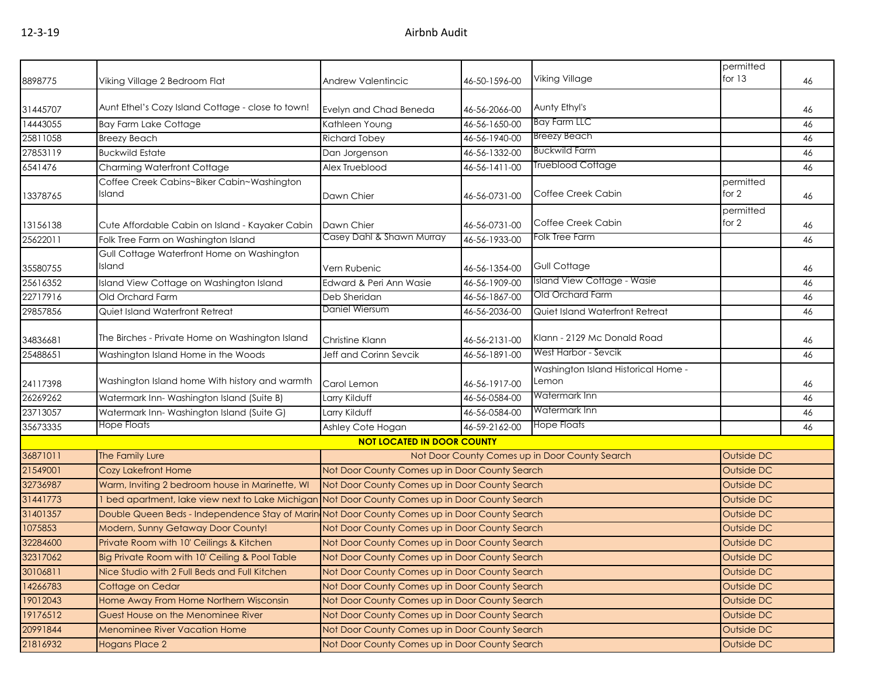|          |                                                                                                 |                                                |               |                                                | permitted  |    |  |
|----------|-------------------------------------------------------------------------------------------------|------------------------------------------------|---------------|------------------------------------------------|------------|----|--|
| 8898775  | Viking Village 2 Bedroom Flat                                                                   | Andrew Valentincic                             | 46-50-1596-00 | Viking Village                                 | for $13$   | 46 |  |
|          |                                                                                                 |                                                |               |                                                |            |    |  |
| 31445707 | Aunt Ethel's Cozy Island Cottage - close to town!                                               | Evelyn and Chad Beneda                         | 46-56-2066-00 | Aunty Ethyl's                                  |            | 46 |  |
| 14443055 | <b>Bay Farm Lake Cottage</b>                                                                    | Kathleen Young                                 | 46-56-1650-00 | <b>Bay Farm LLC</b>                            |            | 46 |  |
| 25811058 | <b>Breezy Beach</b>                                                                             | <b>Richard Tobey</b>                           | 46-56-1940-00 | <b>Breezy Beach</b>                            |            | 46 |  |
| 27853119 | <b>Buckwild Estate</b>                                                                          | Dan Jorgenson                                  | 46-56-1332-00 | <b>Buckwild Farm</b>                           |            | 46 |  |
| 6541476  | Charming Waterfront Cottage                                                                     | Alex Trueblood                                 | 46-56-1411-00 | <b>Trueblood Cottage</b>                       |            | 46 |  |
|          | Coffee Creek Cabins~Biker Cabin~Washington                                                      |                                                |               |                                                | permitted  |    |  |
| 13378765 | Island                                                                                          | Dawn Chier                                     | 46-56-0731-00 | Coffee Creek Cabin                             | for $2$    | 46 |  |
|          |                                                                                                 |                                                |               |                                                | permitted  |    |  |
| 13156138 | Cute Affordable Cabin on Island - Kayaker Cabin                                                 | Dawn Chier                                     | 46-56-0731-00 | Coffee Creek Cabin                             | for 2      | 46 |  |
| 25622011 | Folk Tree Farm on Washington Island                                                             | Casey Dahl & Shawn Murray                      | 46-56-1933-00 | Folk Tree Farm                                 |            | 46 |  |
|          | Gull Cottage Waterfront Home on Washington                                                      |                                                |               |                                                |            |    |  |
| 35580755 | Island                                                                                          | Vern Rubenic                                   | 46-56-1354-00 | Gull Cottage                                   |            | 46 |  |
| 25616352 | Island View Cottage on Washington Island                                                        | Edward & Peri Ann Wasie                        | 46-56-1909-00 | <b>Island View Cottage - Wasie</b>             |            | 46 |  |
| 22717916 | Old Orchard Farm                                                                                | Deb Sheridan                                   | 46-56-1867-00 | Old Orchard Farm                               |            | 46 |  |
| 29857856 | Quiet Island Waterfront Retreat                                                                 | Daniel Wiersum                                 | 46-56-2036-00 | Quiet Island Waterfront Retreat                |            | 46 |  |
|          |                                                                                                 |                                                |               |                                                |            |    |  |
| 34836681 | The Birches - Private Home on Washington Island                                                 | Christine Klann                                | 46-56-2131-00 | Klann - 2129 Mc Donald Road                    |            | 46 |  |
| 25488651 | Washington Island Home in the Woods                                                             | Jeff and Corinn Sevcik                         | 46-56-1891-00 | West Harbor - Sevcik                           |            | 46 |  |
|          |                                                                                                 |                                                |               | Washington Island Historical Home -            |            |    |  |
| 24117398 | Washington Island home With history and warmth                                                  | Carol Lemon                                    | 46-56-1917-00 | Lemon                                          |            | 46 |  |
| 26269262 | Watermark Inn-Washington Island (Suite B)                                                       | Larry Kilduff                                  | 46-56-0584-00 | Watermark Inn                                  |            | 46 |  |
| 23713057 | Watermark Inn-Washington Island (Suite G)                                                       | Larry Kilduff                                  | 46-56-0584-00 | Watermark Inn                                  |            | 46 |  |
| 35673335 | <b>Hope Floats</b>                                                                              | Ashley Cote Hogan                              | 46-59-2162-00 | Hope Floats                                    |            | 46 |  |
|          |                                                                                                 | <b>NOT LOCATED IN DOOR COUNTY</b>              |               |                                                |            |    |  |
| 36871011 | The Family Lure                                                                                 |                                                |               | Not Door County Comes up in Door County Search | Outside DC |    |  |
| 21549001 | <b>Cozy Lakefront Home</b>                                                                      | Not Door County Comes up in Door County Search |               |                                                | Outside DC |    |  |
| 32736987 | Warm, Inviting 2 bedroom house in Marinette, WI                                                 | Not Door County Comes up in Door County Search |               |                                                | Outside DC |    |  |
| 31441773 | 1 bed apartment, lake view next to Lake Michigan Not Door County Comes up in Door County Search |                                                |               |                                                | Outside DC |    |  |
| 31401357 | Double Queen Beds - Independence Stay of Marin Not Door County Comes up in Door County Search   |                                                |               |                                                | Outside DC |    |  |
| 1075853  | Modern, Sunny Getaway Door County!                                                              | Not Door County Comes up in Door County Search |               |                                                | Outside DC |    |  |
| 32284600 | Private Room with 10' Ceilings & Kitchen                                                        | Not Door County Comes up in Door County Search |               |                                                | Outside DC |    |  |
| 32317062 | Big Private Room with 10' Ceiling & Pool Table                                                  | Not Door County Comes up in Door County Search |               |                                                | Outside DC |    |  |
| 30106811 | Nice Studio with 2 Full Beds and Full Kitchen                                                   | Not Door County Comes up in Door County Search |               |                                                | Outside DC |    |  |
| 14266783 | Cottage on Cedar                                                                                | Not Door County Comes up in Door County Search |               |                                                | Outside DC |    |  |
| 19012043 | Home Away From Home Northern Wisconsin                                                          | Not Door County Comes up in Door County Search |               |                                                | Outside DC |    |  |
| 19176512 | Guest House on the Menominee River                                                              | Not Door County Comes up in Door County Search |               |                                                | Outside DC |    |  |
| 20991844 | <b>Menominee River Vacation Home</b>                                                            | Not Door County Comes up in Door County Search |               |                                                | Outside DC |    |  |
| 21816932 | <b>Hogans Place 2</b>                                                                           | Not Door County Comes up in Door County Search |               |                                                | Outside DC |    |  |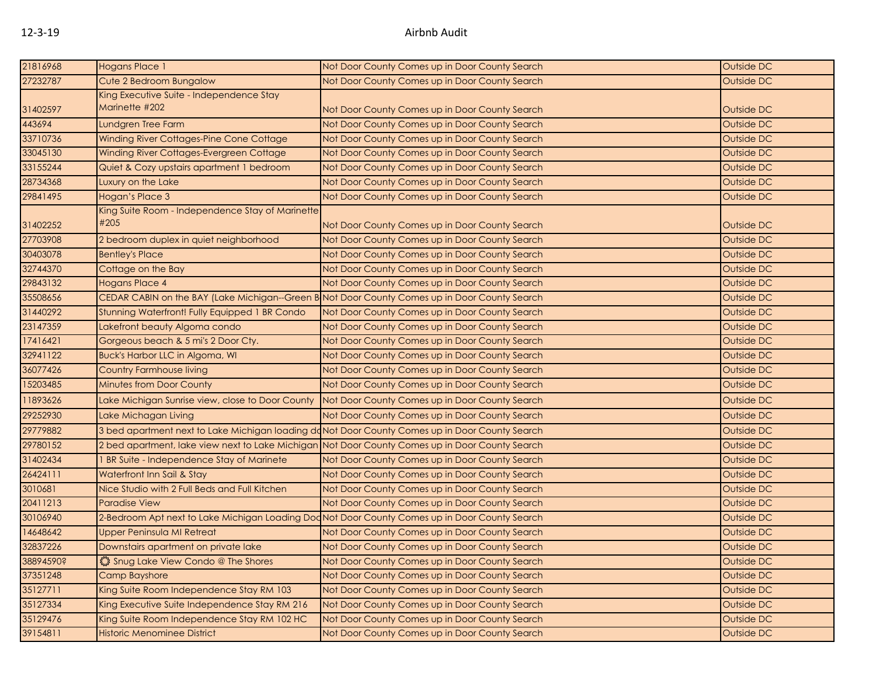| 21816968  | Hogans Place 1                                                                                  | Not Door County Comes up in Door County Search               | Outside DC |  |
|-----------|-------------------------------------------------------------------------------------------------|--------------------------------------------------------------|------------|--|
| 27232787  | Cute 2 Bedroom Bungalow                                                                         | Not Door County Comes up in Door County Search               | Outside DC |  |
| 31402597  | King Executive Suite - Independence Stay<br>Marinette #202                                      | Not Door County Comes up in Door County Search               | Outside DC |  |
| 443694    | Lundgren Tree Farm                                                                              | Not Door County Comes up in Door County Search               | Outside DC |  |
| 33710736  | Winding River Cottages-Pine Cone Cottage                                                        | Not Door County Comes up in Door County Search               | Outside DC |  |
| 33045130  | Winding River Cottages-Evergreen Cottage                                                        | Not Door County Comes up in Door County Search               | Outside DC |  |
| 33155244  | Quiet & Cozy upstairs apartment 1 bedroom                                                       | Not Door County Comes up in Door County Search               | Outside DC |  |
| 28734368  | Luxury on the Lake                                                                              | Not Door County Comes up in Door County Search               | Outside DC |  |
| 29841495  | Hogan's Place 3                                                                                 | Not Door County Comes up in Door County Search               | Outside DC |  |
| 31402252  | King Suite Room - Independence Stay of Marinette<br>#205                                        | Not Door County Comes up in Door County Search               | Outside DC |  |
| 27703908  | 2 bedroom duplex in quiet neighborhood                                                          | Not Door County Comes up in Door County Search               | Outside DC |  |
| 30403078  | <b>Bentley's Place</b>                                                                          | Not Door County Comes up in Door County Search               | Outside DC |  |
| 32744370  | Cottage on the Bay                                                                              | Not Door County Comes up in Door County Search               | Outside DC |  |
| 29843132  | <b>Hogans Place 4</b>                                                                           | Not Door County Comes up in Door County Search               | Outside DC |  |
| 35508656  | CEDAR CABIN on the BAY (Lake Michigan--Green B Not Door County Comes up in Door County Search   |                                                              | Outside DC |  |
| 31440292  | Stunning Waterfront! Fully Equipped 1 BR Condo                                                  | Not Door County Comes up in Door County Search               | Outside DC |  |
| 23147359  | Lakefront beauty Algoma condo                                                                   | Not Door County Comes up in Door County Search               | Outside DC |  |
| 17416421  | Gorgeous beach & 5 mi's 2 Door Cty.                                                             | Not Door County Comes up in Door County Search               | Outside DC |  |
| 32941122  | Buck's Harbor LLC in Algoma, WI                                                                 | Not Door County Comes up in Door County Search               | Outside DC |  |
| 36077426  | <b>Country Farmhouse living</b>                                                                 | Not Door County Comes up in Door County Search               | Outside DC |  |
| 15203485  | Minutes from Door County                                                                        | Not Door County Comes up in Door County Search               | Outside DC |  |
| 11893626  | Lake Michigan Sunrise view, close to Door County                                                | Not Door County Comes up in Door County Search               | Outside DC |  |
| 29252930  | Lake Michagan Living                                                                            | Not Door County Comes up in Door County Search               | Outside DC |  |
| 29779882  | 3 bed apartment next to Lake Michigan loading doNot Door County Comes up in Door County Search  |                                                              | Outside DC |  |
| 29780152  | 2 bed apartment, lake view next to Lake Michigan Not Door County Comes up in Door County Search |                                                              | Outside DC |  |
| 31402434  | 1 BR Suite - Independence Stay of Marinete                                                      | Not Door County Comes up in Door County Search               | Outside DC |  |
| 26424111  | Waterfront Inn Sail & Stay                                                                      | Not Door County Comes up in Door County Search               | Outside DC |  |
| 3010681   | Nice Studio with 2 Full Beds and Full Kitchen                                                   | Not Door County Comes up in Door County Search               | Outside DC |  |
| 20411213  | <b>Paradise View</b>                                                                            | Not Door County Comes up in Door County Search               | Outside DC |  |
| 30106940  | 2-Bedroom Apt next to Lake Michigan Loading Dod Not Door County Comes up in Door County Search  |                                                              | Outside DC |  |
| 14648642  | Upper Peninsula MI Retreat                                                                      | Not Door County Comes up in Door County Search               | Outside DC |  |
| 32837226  | Downstairs apartment on private lake                                                            | Not Door County Comes up in Door County Search               | Outside DC |  |
| 38894590? | Shug Lake View Condo @ The Shores                                                               | Not Door County Comes up in Door County Search               | Outside DC |  |
| 37351248  | <b>Camp Bayshore</b>                                                                            | Not Door County Comes up in Door County Search               | Outside DC |  |
| 35127711  | King Suite Room Independence Stay RM 103                                                        | Not Door County Comes up in Door County Search               | Outside DC |  |
| 35127334  | King Executive Suite Independence Stay RM 216                                                   | Not Door County Comes up in Door County Search               | Outside DC |  |
| 35129476  | King Suite Room Independence Stay RM 102 HC                                                     | Not Door County Comes up in Door County Search               | Outside DC |  |
| 39154811  | <b>Historic Menominee District</b>                                                              | Outside DC<br>Not Door County Comes up in Door County Search |            |  |